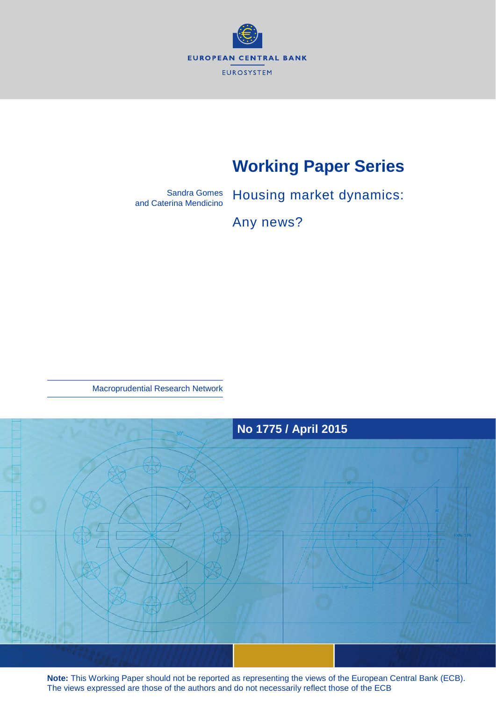

# **Working Paper Series**

Sandra Gomes and Caterina Mendicino

Housing market dynamics:

Any news?

Macroprudential Research Network



**Note:** This Working Paper should not be reported as representing the views of the European Central Bank (ECB). The views expressed are those of the authors and do not necessarily reflect those of the ECB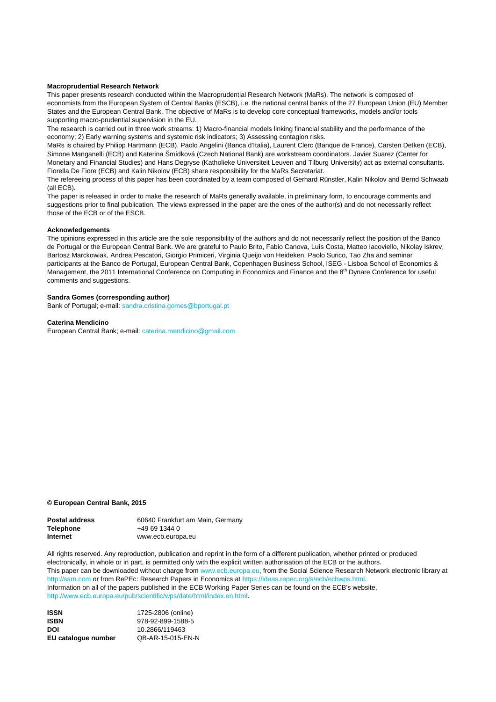#### **Macroprudential Research Network**

This paper presents research conducted within the Macroprudential Research Network (MaRs). The network is composed of economists from the European System of Central Banks (ESCB), i.e. the national central banks of the 27 European Union (EU) Member States and the European Central Bank. The objective of MaRs is to develop core conceptual frameworks, models and/or tools supporting macro-prudential supervision in the EU.

The research is carried out in three work streams: 1) Macro-financial models linking financial stability and the performance of the economy; 2) Early warning systems and systemic risk indicators; 3) Assessing contagion risks.

MaRs is chaired by Philipp Hartmann (ECB). Paolo Angelini (Banca d'Italia), Laurent Clerc (Banque de France), Carsten Detken (ECB), Simone Manganelli (ECB) and Katerina Šmídková (Czech National Bank) are workstream coordinators. Javier Suarez (Center for Monetary and Financial Studies) and Hans Degryse (Katholieke Universiteit Leuven and Tilburg University) act as external consultants. Fiorella De Fiore (ECB) and Kalin Nikolov (ECB) share responsibility for the MaRs Secretariat.

The refereeing process of this paper has been coordinated by a team composed of Gerhard Rünstler, Kalin Nikolov and Bernd Schwaab (all ECB).

The paper is released in order to make the research of MaRs generally available, in preliminary form, to encourage comments and suggestions prior to final publication. The views expressed in the paper are the ones of the author(s) and do not necessarily reflect those of the ECB or of the ESCB.

#### **Acknowledgements**

The opinions expressed in this article are the sole responsibility of the authors and do not necessarily reflect the position of the Banco de Portugal or the European Central Bank. We are grateful to Paulo Brito, Fabio Canova, Luís Costa, Matteo Iacoviello, Nikolay Iskrev, Bartosz Marckowiak, Andrea Pescatori, Giorgio Primiceri, Virginia Queijo von Heideken, Paolo Surico, Tao Zha and seminar participants at the Banco de Portugal, European Central Bank, Copenhagen Business School, ISEG - Lisboa School of Economics & Management, the 2011 International Conference on Computing in Economics and Finance and the 8<sup>th</sup> Dynare Conference for useful comments and suggestions.

#### **Sandra Gomes (corresponding author)**

Bank of Portugal; e-mail[: sandra.cristina.gomes@bportugal.pt](mailto:sandra.cristina.gomes@bportugal.pt)

#### **Caterina Mendicino**

European Central Bank; e-mail: cat[erina.mendicino@gmail.com](mailto:caterina.mendicino@gmail.com)

#### **© European Central Bank, 2015**

| <b>Postal address</b> | 60640 Frankfurt am Main, Germany |
|-----------------------|----------------------------------|
| <b>Telephone</b>      | +49 69 1344 0                    |
| Internet              | www.ecb.europa.eu                |

All rights reserved. Any reproduction, publication and reprint in the form of a different publication, whether printed or produced electronically, in whole or in part, is permitted only with the explicit written authorisation of the ECB or the authors. This paper can be downloaded without charge from [www.ecb.europa.eu,](http://www.ecb.europa.eu/) from the Social Science Research Network electronic library at [http://ssrn.com](http://ssrn.com/) or from RePEc: Research Papers in Economics at [https://ideas.repec.org/s/ecb/ecbwps.html.](https://ideas.repec.org/s/ecb/ecbwps.html) Information on all of the papers published in the ECB Working Paper Series can be found on the ECB's website, [http://www.ecb.europa.eu/pub/scientific/wps/date/html/index.en.html.](http://www.ecb.europa.eu/pub/scientific/wps/date/html/index.en.html) 

**ISSN 1725-2806 (online)**<br>**ISBN 978-92-899-1588-5 ISBN** 978-92-899-1588-5 **DOI** 10.2866/119463 **EU catalogue number** QB-AR-15-015-EN-N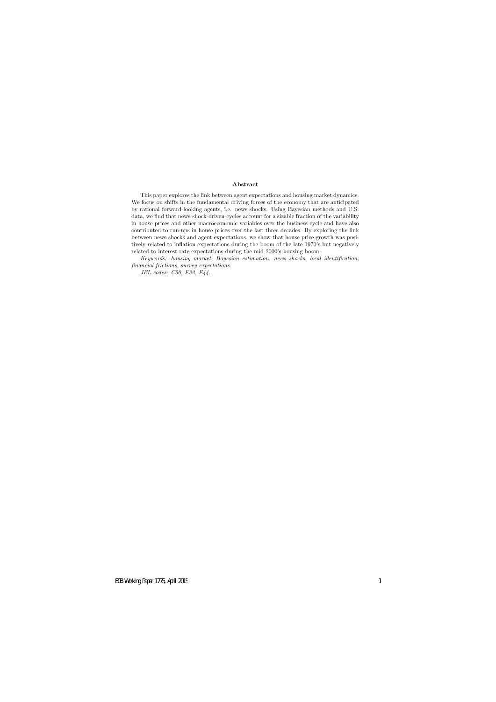#### **Abstract**

This paper explores the link between agent expectations and housing market dynamics. We focus on shifts in the fundamental driving forces of the economy that are anticipated by rational forward-looking agents, i.e. news shocks. Using Bayesian methods and U.S. data, we find that news-shock-driven-cycles account for a sizable fraction of the variability in house prices and other macroeconomic variables over the business cycle and have also contributed to run-ups in house prices over the last three decades. By exploring the link between news shocks and agent expectations, we show that house price growth was positively related to inflation expectations during the boom of the late 1970's but negatively related to interest rate expectations during the mid-2000's housing boom.

*Keywords: housing market, Bayesian estimation, news shocks, local identification, financial frictions, survey expectations.*

*JEL codes: C50, E32, E44.*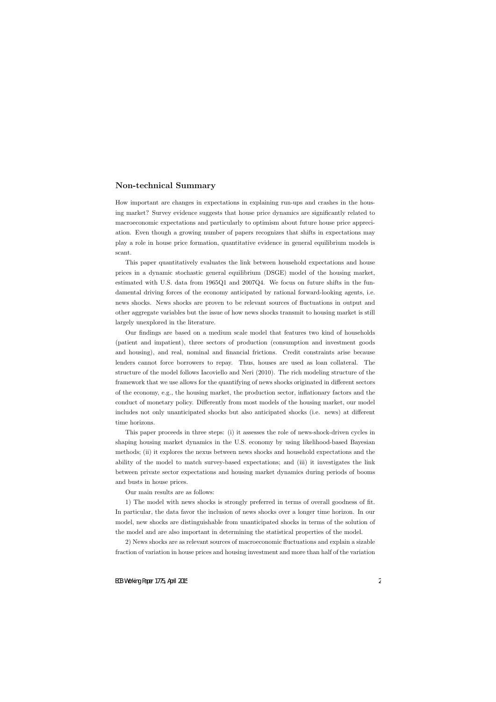# **Non-technical Summary**

How important are changes in expectations in explaining run-ups and crashes in the housing market? Survey evidence suggests that house price dynamics are significantly related to macroeconomic expectations and particularly to optimism about future house price appreciation. Even though a growing number of papers recognizes that shifts in expectations may play a role in house price formation, quantitative evidence in general equilibrium models is scant.

This paper quantitatively evaluates the link between household expectations and house prices in a dynamic stochastic general equilibrium (DSGE) model of the housing market, estimated with U.S. data from 1965Q1 and 2007Q4. We focus on future shifts in the fundamental driving forces of the economy anticipated by rational forward-looking agents, i.e. news shocks. News shocks are proven to be relevant sources of fluctuations in output and other aggregate variables but the issue of how news shocks transmit to housing market is still largely unexplored in the literature.

Our findings are based on a medium scale model that features two kind of households (patient and impatient), three sectors of production (consumption and investment goods and housing), and real, nominal and financial frictions. Credit constraints arise because lenders cannot force borrowers to repay. Thus, houses are used as loan collateral. The structure of the model follows Iacoviello and Neri (2010). The rich modeling structure of the framework that we use allows for the quantifying of news shocks originated in different sectors of the economy, e.g., the housing market, the production sector, inflationary factors and the conduct of monetary policy. Differently from most models of the housing market, our model includes not only unanticipated shocks but also anticipated shocks (i.e. news) at different time horizons.

This paper proceeds in three steps: (i) it assesses the role of news-shock-driven cycles in shaping housing market dynamics in the U.S. economy by using likelihood-based Bayesian methods; (ii) it explores the nexus between news shocks and household expectations and the ability of the model to match survey-based expectations; and (iii) it investigates the link between private sector expectations and housing market dynamics during periods of booms and busts in house prices.

Our main results are as follows:

1) The model with news shocks is strongly preferred in terms of overall goodness of fit. In particular, the data favor the inclusion of news shocks over a longer time horizon. In our model, new shocks are distinguishable from unanticipated shocks in terms of the solution of the model and are also important in determining the statistical properties of the model.

2) News shocks are as relevant sources of macroeconomic fluctuations and explain a sizable fraction of variation in house prices and housing investment and more than half of the variation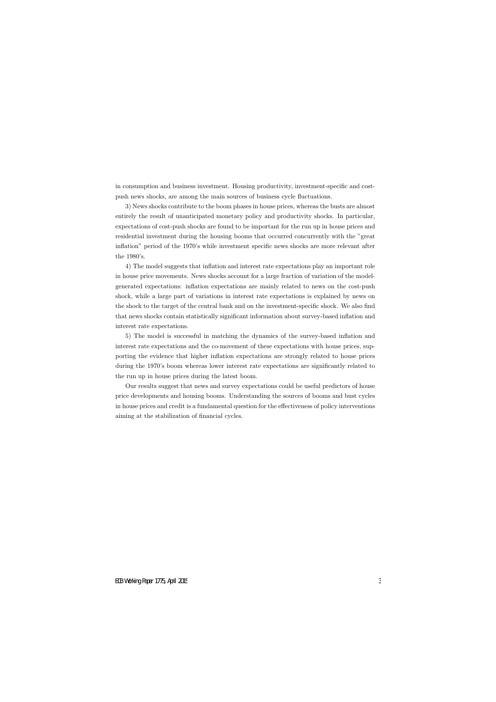in consumption and business investment. Housing productivity, investment-specific and costpush news shocks, are among the main sources of business cycle fluctuations.

3) News shocks contribute to the boom phases in house prices, whereas the busts are almost entirely the result of unanticipated monetary policy and productivity shocks. In particular, expectations of cost-push shocks are found to be important for the run up in house prices and residential investment during the housing booms that occurred concurrently with the "great inflation" period of the 1970's while investment specific news shocks are more relevant after the 1980's.

4) The model suggests that inflation and interest rate expectations play an important role in house price movements. News shocks account for a large fraction of variation of the modelgenerated expectations: inflation expectations are mainly related to news on the cost-push shock, while a large part of variations in interest rate expectations is explained by news on the shock to the target of the central bank and on the investment-specific shock. We also find that news shocks contain statistically significant information about survey-based inflation and interest rate expectations.

5) The model is successful in matching the dynamics of the survey-based inflation and interest rate expectations and the co-movement of these expectations with house prices, supporting the evidence that higher inflation expectations are strongly related to house prices during the 1970's boom whereas lower interest rate expectations are significantly related to the run up in house prices during the latest boom.

Our results suggest that news and survey expectations could be useful predictors of house price developments and housing booms. Understanding the sources of booms and bust cycles in house prices and credit is a fundamental question for the effectiveness of policy interventions aiming at the stabilization of financial cycles.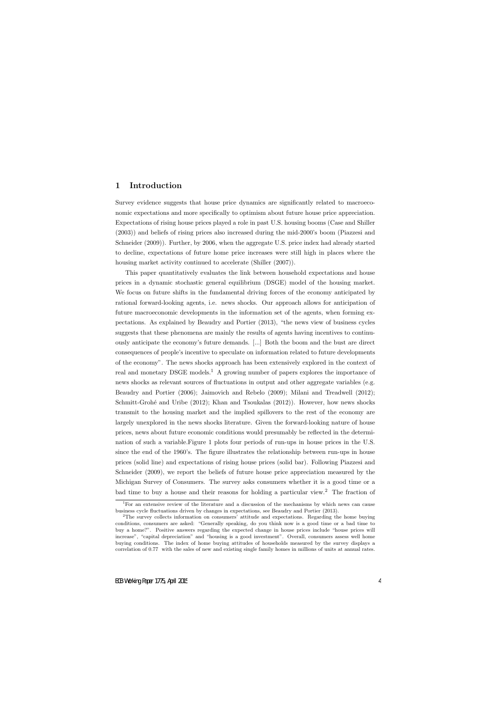## **1 Introduction**

Survey evidence suggests that house price dynamics are significantly related to macroeconomic expectations and more specifically to optimism about future house price appreciation. Expectations of rising house prices played a role in past U.S. housing booms (Case and Shiller (2003)) and beliefs of rising prices also increased during the mid-2000's boom (Piazzesi and Schneider (2009)). Further, by 2006, when the aggregate U.S. price index had already started to decline, expectations of future home price increases were still high in places where the housing market activity continued to accelerate (Shiller (2007)).

This paper quantitatively evaluates the link between household expectations and house prices in a dynamic stochastic general equilibrium (DSGE) model of the housing market. We focus on future shifts in the fundamental driving forces of the economy anticipated by rational forward-looking agents, i.e. news shocks. Our approach allows for anticipation of future macroeconomic developments in the information set of the agents, when forming expectations. As explained by Beaudry and Portier (2013), "the news view of business cycles suggests that these phenomena are mainly the results of agents having incentives to continuously anticipate the economy's future demands. [...] Both the boom and the bust are direct consequences of people's incentive to speculate on information related to future developments of the economy". The news shocks approach has been extensively explored in the context of real and monetary DSGE models.<sup>1</sup> A growing number of papers explores the importance of news shocks as relevant sources of fluctuations in output and other aggregate variables (e.g. Beaudry and Portier (2006); Jaimovich and Rebelo (2009); Milani and Treadwell (2012); Schmitt-Grohé and Uribe (2012); Khan and Tsoukalas (2012)). However, how news shocks transmit to the housing market and the implied spillovers to the rest of the economy are largely unexplored in the news shocks literature. Given the forward-looking nature of house prices, news about future economic conditions would presumably be reflected in the determination of such a variable.Figure 1 plots four periods of run-ups in house prices in the U.S. since the end of the 1960's. The figure illustrates the relationship between run-ups in house prices (solid line) and expectations of rising house prices (solid bar). Following Piazzesi and Schneider (2009), we report the beliefs of future house price appreciation measured by the Michigan Survey of Consumers. The survey asks consumers whether it is a good time or a bad time to buy a house and their reasons for holding a particular view.<sup>2</sup> The fraction of

<sup>1</sup>For an extensive review of the literature and a discussion of the mechanisms by which news can cause business cycle fluctuations driven by changes in expectations, see Beaudry and Portier (2013).

<sup>&</sup>lt;sup>2</sup>The survey collects information on consumers' attitude and expectations. Regarding the home buying conditions, consumers are asked: "Generally speaking, do you think now is a good time or a bad time to buy a home?". Positive answers regarding the expected change in house prices include "house prices will increase", "capital depreciation" and "housing is a good investment". Overall, consumers assess well home buying conditions. The index of home buying attitudes of households measured by the survey displays a correlation of 0.77 with the sales of new and existing single family homes in millions of units at annual rates.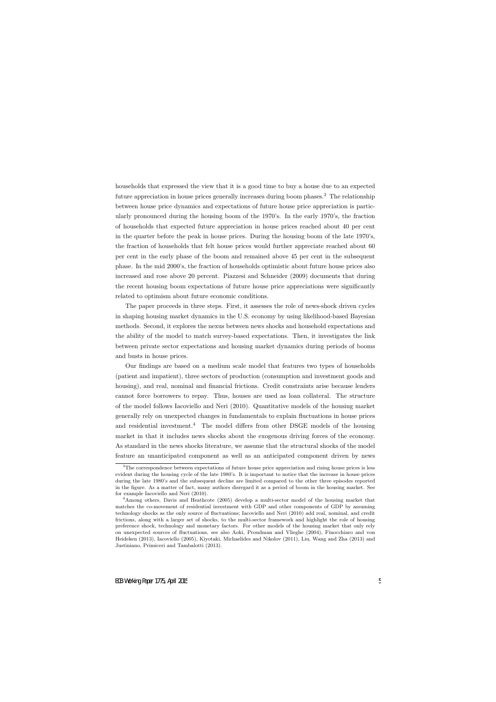households that expressed the view that it is a good time to buy a house due to an expected future appreciation in house prices generally increases during boom phases.<sup>3</sup> The relationship between house price dynamics and expectations of future house price appreciation is particularly pronounced during the housing boom of the 1970's. In the early 1970's, the fraction of households that expected future appreciation in house prices reached about 40 per cent in the quarter before the peak in house prices. During the housing boom of the late 1970's, the fraction of households that felt house prices would further appreciate reached about 60 per cent in the early phase of the boom and remained above 45 per cent in the subsequent phase. In the mid 2000's, the fraction of households optimistic about future house prices also increased and rose above 20 percent. Piazzesi and Schneider (2009) documents that during the recent housing boom expectations of future house price appreciations were significantly related to optimism about future economic conditions.

The paper proceeds in three steps. First, it assesses the role of news-shock driven cycles in shaping housing market dynamics in the U.S. economy by using likelihood-based Bayesian methods. Second, it explores the nexus between news shocks and household expectations and the ability of the model to match survey-based expectations. Then, it investigates the link between private sector expectations and housing market dynamics during periods of booms and busts in house prices.

Our findings are based on a medium scale model that features two types of households (patient and impatient), three sectors of production (consumption and investment goods and housing), and real, nominal and financial frictions. Credit constraints arise because lenders cannot force borrowers to repay. Thus, houses are used as loan collateral. The structure of the model follows Iacoviello and Neri (2010). Quantitative models of the housing market generally rely on unexpected changes in fundamentals to explain fluctuations in house prices and residential investment.<sup>4</sup> The model differs from other DSGE models of the housing market in that it includes news shocks about the exogenous driving forces of the economy. As standard in the news shocks literature, we assume that the structural shocks of the model feature an unanticipated component as well as an anticipated component driven by news

 $3$ The correspondence between expectations of future house price appreciation and rising house prices is less evident during the housing cycle of the late 1980's. It is important to notice that the increase in house prices during the late 1980's and the subsequent decline are limited compared to the other three episodes reported in the figure. As a matter of fact, many authors disregard it as a period of boom in the housing market. See for example Iacoviello and Neri (2010).

<sup>4</sup>Among others, Davis and Heathcote (2005) develop a multi-sector model of the housing market that matches the co-movement of residential investment with GDP and other components of GDP by assuming technology shocks as the only source of fluctuations; Iacoviello and Neri (2010) add real, nominal, and credit frictions, along with a larger set of shocks, to the multi-sector framework and highlight the role of housing preference shock, technology and monetary factors. For other models of the housing market that only rely on unexpected sources of fluctuations, see also Aoki, Proudman and Vlieghe (2004), Finocchiaro and von Heideken (2013), Iacoviello (2005), Kiyotaki, Michaelides and Nikolov (2011), Liu, Wang and Zha (2013) and Justiniano, Primiceri and Tambalotti (2013).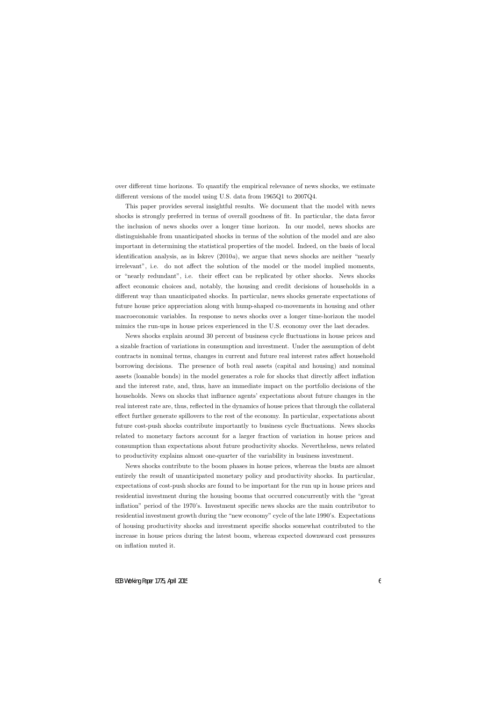over different time horizons. To quantify the empirical relevance of news shocks, we estimate different versions of the model using U.S. data from 1965Q1 to 2007Q4.

This paper provides several insightful results. We document that the model with news shocks is strongly preferred in terms of overall goodness of fit. In particular, the data favor the inclusion of news shocks over a longer time horizon. In our model, news shocks are distinguishable from unanticipated shocks in terms of the solution of the model and are also important in determining the statistical properties of the model. Indeed, on the basis of local identification analysis, as in Iskrev (2010*a*), we argue that news shocks are neither "nearly irrelevant", i.e. do not affect the solution of the model or the model implied moments, or "nearly redundant", i.e. their effect can be replicated by other shocks. News shocks affect economic choices and, notably, the housing and credit decisions of households in a different way than unanticipated shocks. In particular, news shocks generate expectations of future house price appreciation along with hump-shaped co-movements in housing and other macroeconomic variables. In response to news shocks over a longer time-horizon the model mimics the run-ups in house prices experienced in the U.S. economy over the last decades.

News shocks explain around 30 percent of business cycle fluctuations in house prices and a sizable fraction of variations in consumption and investment. Under the assumption of debt contracts in nominal terms, changes in current and future real interest rates affect household borrowing decisions. The presence of both real assets (capital and housing) and nominal assets (loanable bonds) in the model generates a role for shocks that directly affect inflation and the interest rate, and, thus, have an immediate impact on the portfolio decisions of the households. News on shocks that influence agents' expectations about future changes in the real interest rate are, thus, reflected in the dynamics of house prices that through the collateral effect further generate spillovers to the rest of the economy. In particular, expectations about future cost-push shocks contribute importantly to business cycle fluctuations. News shocks related to monetary factors account for a larger fraction of variation in house prices and consumption than expectations about future productivity shocks. Nevertheless, news related to productivity explains almost one-quarter of the variability in business investment.

News shocks contribute to the boom phases in house prices, whereas the busts are almost entirely the result of unanticipated monetary policy and productivity shocks. In particular, expectations of cost-push shocks are found to be important for the run up in house prices and residential investment during the housing booms that occurred concurrently with the "great inflation" period of the 1970's. Investment specific news shocks are the main contributor to residential investment growth during the "new economy" cycle of the late 1990's. Expectations of housing productivity shocks and investment specific shocks somewhat contributed to the increase in house prices during the latest boom, whereas expected downward cost pressures on inflation muted it.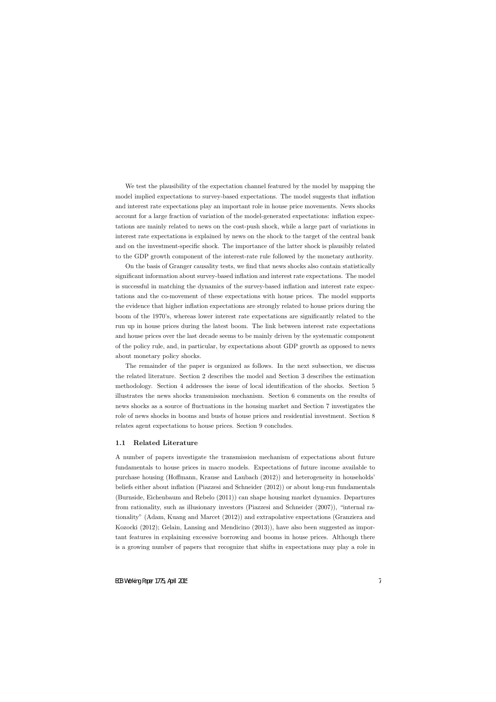We test the plausibility of the expectation channel featured by the model by mapping the model implied expectations to survey-based expectations. The model suggests that inflation and interest rate expectations play an important role in house price movements. News shocks account for a large fraction of variation of the model-generated expectations: inflation expectations are mainly related to news on the cost-push shock, while a large part of variations in interest rate expectations is explained by news on the shock to the target of the central bank and on the investment-specific shock. The importance of the latter shock is plausibly related to the GDP growth component of the interest-rate rule followed by the monetary authority.

On the basis of Granger causality tests, we find that news shocks also contain statistically significant information about survey-based inflation and interest rate expectations. The model is successful in matching the dynamics of the survey-based inflation and interest rate expectations and the co-movement of these expectations with house prices. The model supports the evidence that higher inflation expectations are strongly related to house prices during the boom of the 1970's, whereas lower interest rate expectations are significantly related to the run up in house prices during the latest boom. The link between interest rate expectations and house prices over the last decade seems to be mainly driven by the systematic component of the policy rule, and, in particular, by expectations about GDP growth as opposed to news about monetary policy shocks.

The remainder of the paper is organized as follows. In the next subsection, we discuss the related literature. Section 2 describes the model and Section 3 describes the estimation methodology. Section 4 addresses the issue of local identification of the shocks. Section 5 illustrates the news shocks transmission mechanism. Section 6 comments on the results of news shocks as a source of fluctuations in the housing market and Section 7 investigates the role of news shocks in booms and busts of house prices and residential investment. Section 8 relates agent expectations to house prices. Section 9 concludes.

#### **1.1 Related Literature**

A number of papers investigate the transmission mechanism of expectations about future fundamentals to house prices in macro models. Expectations of future income available to purchase housing (Hoffmann, Krause and Laubach (2012)) and heterogeneity in households' beliefs either about inflation (Piazzesi and Schneider (2012)) or about long-run fundamentals (Burnside, Eichenbaum and Rebelo (2011)) can shape housing market dynamics. Departures from rationality, such as illusionary investors (Piazzesi and Schneider (2007)), "internal rationality" (Adam, Kuang and Marcet (2012)) and extrapolative expectations (Granziera and Kozocki (2012); Gelain, Lansing and Mendicino (2013)), have also been suggested as important features in explaining excessive borrowing and booms in house prices. Although there is a growing number of papers that recognize that shifts in expectations may play a role in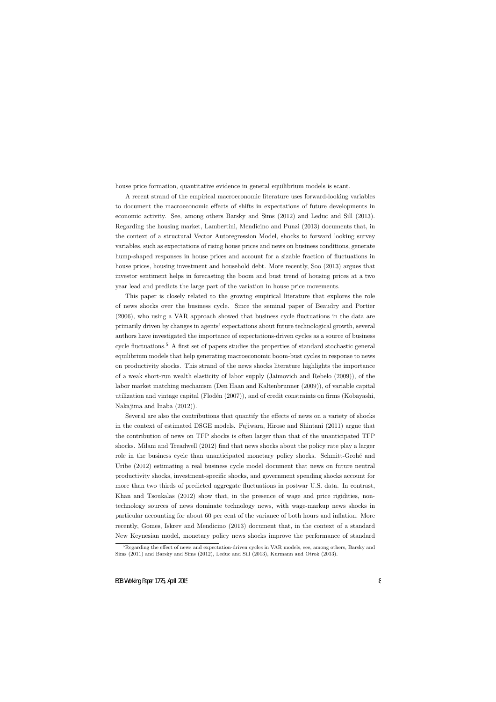house price formation, quantitative evidence in general equilibrium models is scant.

A recent strand of the empirical macroeconomic literature uses forward-looking variables to document the macroeconomic effects of shifts in expectations of future developments in economic activity. See, among others Barsky and Sims (2012) and Leduc and Sill (2013). Regarding the housing market, Lambertini, Mendicino and Punzi (2013) documents that, in the context of a structural Vector Autoregression Model, shocks to forward looking survey variables, such as expectations of rising house prices and news on business conditions, generate hump-shaped responses in house prices and account for a sizable fraction of fluctuations in house prices, housing investment and household debt. More recently, Soo (2013) argues that investor sentiment helps in forecasting the boom and bust trend of housing prices at a two year lead and predicts the large part of the variation in house price movements.

This paper is closely related to the growing empirical literature that explores the role of news shocks over the business cycle. Since the seminal paper of Beaudry and Portier (2006), who using a VAR approach showed that business cycle fluctuations in the data are primarily driven by changes in agents' expectations about future technological growth, several authors have investigated the importance of expectations-driven cycles as a source of business cycle fluctuations.<sup>5</sup> A first set of papers studies the properties of standard stochastic general equilibrium models that help generating macroeconomic boom-bust cycles in response to news on productivity shocks. This strand of the news shocks literature highlights the importance of a weak short-run wealth elasticity of labor supply (Jaimovich and Rebelo (2009)), of the labor market matching mechanism (Den Haan and Kaltenbrunner (2009)), of variable capital utilization and vintage capital (Flodén  $(2007)$ ), and of credit constraints on firms (Kobayashi, Nakajima and Inaba (2012)).

Several are also the contributions that quantify the effects of news on a variety of shocks in the context of estimated DSGE models. Fujiwara, Hirose and Shintani (2011) argue that the contribution of news on TFP shocks is often larger than that of the unanticipated TFP shocks. Milani and Treadwell (2012) find that news shocks about the policy rate play a larger role in the business cycle than unanticipated monetary policy shocks. Schmitt-Grohé and Uribe (2012) estimating a real business cycle model document that news on future neutral productivity shocks, investment-specific shocks, and government spending shocks account for more than two thirds of predicted aggregate fluctuations in postwar U.S. data. In contrast, Khan and Tsoukalas (2012) show that, in the presence of wage and price rigidities, nontechnology sources of news dominate technology news, with wage-markup news shocks in particular accounting for about 60 per cent of the variance of both hours and inflation. More recently, Gomes, Iskrev and Mendicino (2013) document that, in the context of a standard New Keynesian model, monetary policy news shocks improve the performance of standard

<sup>&</sup>lt;sup>5</sup>Regarding the effect of news and expectation-driven cycles in VAR models, see, among others, Barsky and Sims (2011) and Barsky and Sims (2012), Leduc and Sill (2013), Kurmann and Otrok (2013).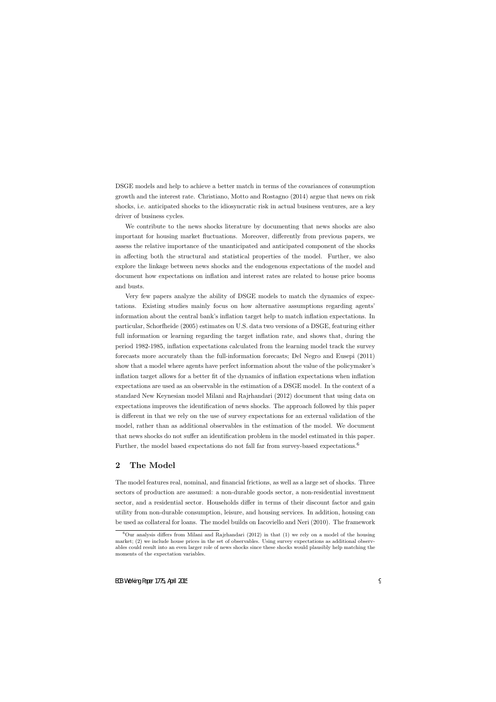DSGE models and help to achieve a better match in terms of the covariances of consumption growth and the interest rate. Christiano, Motto and Rostagno (2014) argue that news on risk shocks, i.e. anticipated shocks to the idiosyncratic risk in actual business ventures, are a key driver of business cycles.

We contribute to the news shocks literature by documenting that news shocks are also important for housing market fluctuations. Moreover, differently from previous papers, we assess the relative importance of the unanticipated and anticipated component of the shocks in affecting both the structural and statistical properties of the model. Further, we also explore the linkage between news shocks and the endogenous expectations of the model and document how expectations on inflation and interest rates are related to house price booms and busts.

Very few papers analyze the ability of DSGE models to match the dynamics of expectations. Existing studies mainly focus on how alternative assumptions regarding agents' information about the central bank's inflation target help to match inflation expectations. In particular, Schorfheide (2005) estimates on U.S. data two versions of a DSGE, featuring either full information or learning regarding the target inflation rate, and shows that, during the period 1982-1985, inflation expectations calculated from the learning model track the survey forecasts more accurately than the full-information forecasts; Del Negro and Eusepi (2011) show that a model where agents have perfect information about the value of the policymaker's inflation target allows for a better fit of the dynamics of inflation expectations when inflation expectations are used as an observable in the estimation of a DSGE model. In the context of a standard New Keynesian model Milani and Rajrhandari (2012) document that using data on expectations improves the identification of news shocks. The approach followed by this paper is different in that we rely on the use of survey expectations for an external validation of the model, rather than as additional observables in the estimation of the model. We document that news shocks do not suffer an identification problem in the model estimated in this paper. Further, the model based expectations do not fall far from survey-based expectations.<sup>6</sup>

# **2 The Model**

The model features real, nominal, and financial frictions, as well as a large set of shocks. Three sectors of production are assumed: a non-durable goods sector, a non-residential investment sector, and a residential sector. Households differ in terms of their discount factor and gain utility from non-durable consumption, leisure, and housing services. In addition, housing can be used as collateral for loans. The model builds on Iacoviello and Neri (2010). The framework

 $6$ Our analysis differs from Milani and Rajrhandari (2012) in that (1) we rely on a model of the housing market; (2) we include house prices in the set of observables. Using survey expectations as additional observables could result into an even larger role of news shocks since these shocks would plausibly help matching the moments of the expectation variables.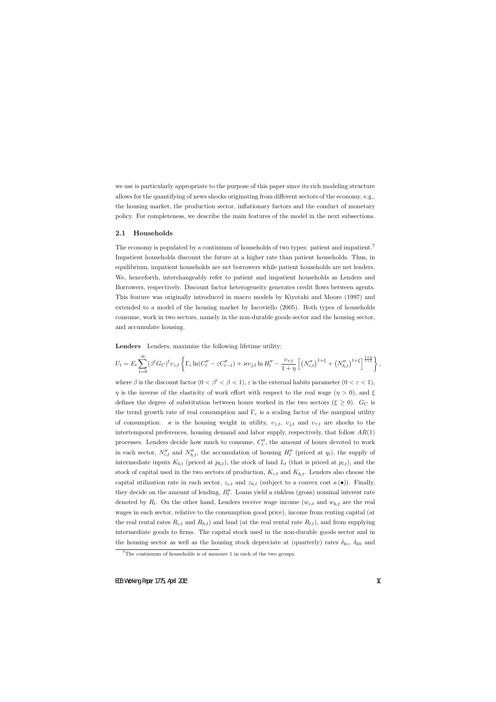we use is particularly appropriate to the purpose of this paper since its rich modeling structure allows for the quantifying of news shocks originating from different sectors of the economy, e.g., the housing market, the production sector, inflationary factors and the conduct of monetary policy. For completeness, we describe the main features of the model in the next subsections.

#### **2.1 Households**

The economy is populated by a continuum of households of two types: patient and impatient.<sup>7</sup> Impatient households discount the future at a higher rate than patient households. Thus, in equilibrium, impatient households are net borrowers while patient households are net lenders. We, henceforth, interchangeably refer to patient and impatient households as Lenders and Borrowers, respectively. Discount factor heterogeneity generates credit flows between agents. This feature was originally introduced in macro models by Kiyotaki and Moore (1997) and extended to a model of the housing market by Iacoviello (2005). Both types of households consume, work in two sectors, namely in the non-durable goods sector and the housing sector, and accumulate housing.

**Lenders** Lenders, maximize the following lifetime utility:

$$
U_t = E_t \sum_{t=0}^{\infty} (\beta^t G_C)^t v_{z,t} \left\{ \Gamma_c \ln(C_t'' - \varepsilon C_{t-1}'') + \varkappa v_{j,t} \ln H_t'' - \frac{v_{\tau,t}}{1+\eta} \left[ \left( N_{c,t}'' \right)^{1+\xi} + \left( N_{h,t}'' \right)^{1+\xi} \right]^{\frac{1+\eta}{1+\xi}} \right\},\,
$$

where  $\beta$  is the discount factor  $(0 < \beta' < \beta < 1)$ ,  $\varepsilon$  is the external habits parameter  $(0 < \varepsilon < 1)$ , *η* is the inverse of the elasticity of work effort with respect to the real wage  $(\eta > 0)$ , and  $\xi$ defines the degree of substitution between hours worked in the two sectors ( $\xi \geq 0$ ).  $G_C$  is the trend growth rate of real consumption and  $\Gamma_c$  is a scaling factor of the marginal utility of consumption.  $\varkappa$  is the housing weight in utility,  $v_{z,t}$ ,  $v_{j,t}$  and  $v_{\tau,t}$  are shocks to the intertemporal preferences, housing demand and labor supply, respectively, that follow *AR*(1) processes. Lenders decide how much to consume,  $C''<sub>t</sub>$ , the amount of hours devoted to work in each sector,  $N''_{c,t}$  and  $N''_{h,t}$ , the accumulation of housing  $H''_t$  (priced at  $q_t$ ), the supply of intermediate inputs  $K_{b,t}$  (priced at  $p_{b,t}$ ), the stock of land  $L_t$  (that is priced at  $p_{l,t}$ ), and the stock of capital used in the two sectors of production, *Kc,t* and *Kh,t*. Lenders also choose the capital utilization rate in each sector,  $z_{c,t}$  and  $z_{h,t}$  (subject to a convex cost  $a(\bullet)$ ). Finally, they decide on the amount of lending, *B′′ t* . Loans yield a riskless (gross) nominal interest rate denoted by *R<sup>t</sup>* . On the other hand, Lenders receive wage income (*wc,t* and *wh,t* are the real wages in each sector, relative to the consumption good price), income from renting capital (at the real rental rates  $R_{c,t}$  and  $R_{h,t}$  and land (at the real rental rate  $R_{l,t}$ ), and from supplying intermediate goods to firms. The capital stock used in the non-durable goods sector and in the housing sector as well as the housing stock depreciate at (quarterly) rates  $\delta_{kc}$ ,  $\delta_{kh}$  and

<sup>&</sup>lt;sup>7</sup>The continuum of households is of measure 1 in each of the two groups.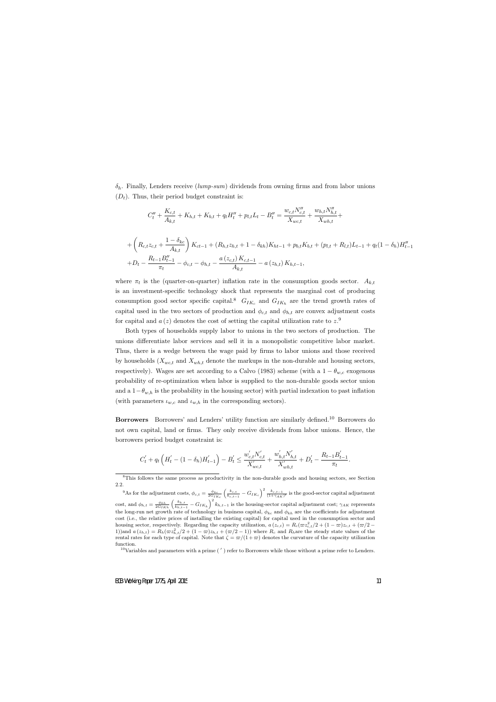*δh*. Finally, Lenders receive (*lump-sum*) dividends from owning firms and from labor unions  $(D_t)$ . Thus, their period budget constraint is:

$$
C''_t + \frac{K_{c,t}}{A_{k,t}} + K_{h,t} + K_{b,t} + q_t H''_t + p_{l,t} L_t - B''_t = \frac{w_{c,t} N''_{c,t}}{X_{wc,t}} + \frac{w_{h,t} N''_{h,t}}{X_{wh,t}} +
$$

$$
+\left(R_{c,t}z_{c,t} + \frac{1-\delta_{kc}}{A_{k,t}}\right)K_{ct-1} + (R_{h,t}z_{h,t} + 1 - \delta_{kh})K_{ht-1} + p_{b,t}K_{b,t} + (p_{l,t} + R_{l,t})L_{t-1} + q_t(1 - \delta_h)H''_{t-1} + D_t - \frac{R_{t-1}B''_{t-1}}{\pi_t} - \phi_{c,t} - \phi_{h,t} - \frac{a(z_{c,t})K_{c,t-1}}{A_{k,t}} - a(z_{h,t})K_{h,t-1},
$$

where  $\pi_t$  is the (quarter-on-quarter) inflation rate in the consumption goods sector.  $A_{k,t}$ is an investment-specific technology shock that represents the marginal cost of producing consumption good sector specific capital.<sup>8</sup>  $G_{IK_c}$  and  $G_{IK_h}$  are the trend growth rates of capital used in the two sectors of production and  $\phi_{c,t}$  and  $\phi_{h,t}$  are convex adjustment costs for capital and  $a(z)$  denotes the cost of setting the capital utilization rate to  $z^0$ .

Both types of households supply labor to unions in the two sectors of production. The unions differentiate labor services and sell it in a monopolistic competitive labor market. Thus, there is a wedge between the wage paid by firms to labor unions and those received by households  $(X_{wc,t}$  and  $X_{wh,t}$  denote the markups in the non-durable and housing sectors, respectively). Wages are set according to a Calvo (1983) scheme (with a  $1 - \theta_{w,c}$  exogenous probability of re-optimization when labor is supplied to the non-durable goods sector union and a 1*−θw,h* is the probability in the housing sector) with partial indexation to past inflation (with parameters  $\iota_{w,c}$  and  $\iota_{w,h}$  in the corresponding sectors).

**Borrowers** Borrowers' and Lenders' utility function are similarly defined.<sup>10</sup> Borrowers do not own capital, land or firms. They only receive dividends from labor unions. Hence, the borrowers period budget constraint is:

$$
C'_t + q_t \left( H'_t - (1 - \delta_h) H'_{t-1} \right) - B'_t \le \frac{w'_{c,t} N'_{c,t}}{X'_{wc,t}} + \frac{w'_{h,t} N'_{h,t}}{X'_{wh,t}} + D'_t - \frac{R_{t-1} B'_{t-1}}{\pi_t}.
$$

<sup>9</sup>As for the adjustment costs,  $\phi_{c,t} = \frac{\phi_{kc}}{2G_{IK_c}}$  $\left(\frac{k_{c,t}}{k_{c,t-1}}-G_{IK_c}\right)^2 \frac{k_{c,t-1}}{(1+\gamma_{AK})^t}$  is the good-sector capital adjustment cost, and  $\phi_{h,t} = \frac{\phi_{kh}}{2G_{IKh}}$  $\int k_{h,t}$  $\frac{k_{h,t}}{k_{h,t-1}}$  *− G*<sub>*IKh*</sub></sub> $\left(\frac{h_{h,t-1}}{h_{h,t-1}}\right)^2$  *k<sub>h,t-1</sub>* is the housing-sector capital adjustment cost; *γAK* represents the long-run net growth rate of technology in business capital,  $\phi_{kc}$  and  $\phi_{kh}$  are the coefficients for adjustment cost (i.e., the relative prices of installing the existing capital) for capital used in the consumption sector and housing sector, respectively. Regarding the capacity utilization,  $a(z_{c,t}) = R_c(\varpi z_{c,t}^2/2 + (1-\varpi)z_{c,t} + (\varpi/2 -$ 1)) and  $a(z_{h,t}) = R_h(\varpi z_{h,t}^2/2 + (1-\varpi)z_{h,t} + (\varpi/2-1))$  where  $R_c$  and  $R_h$  are the steady state values of the rental rates for each type of capital. Note that  $\zeta = \frac{\pi}{1 + \infty}$  denotes the curvature of the capacity utilization function.

<sup>10</sup>Variables and parameters with a prime (') refer to Borrowers while those without a prime refer to Lenders.

<sup>8</sup>This follows the same process as productivity in the non-durable goods and housing sectors, see Section 2.2.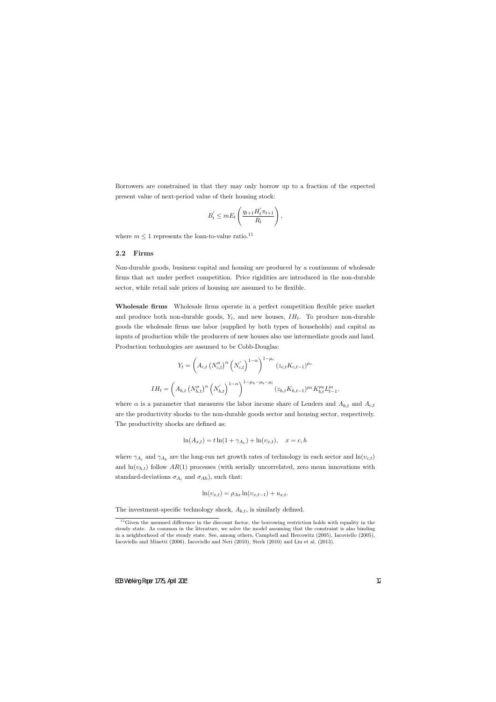Borrowers are constrained in that they may only borrow up to a fraction of the expected present value of next-period value of their housing stock:

$$
B_t' \le mE_t \left(\frac{q_{t+1}H_t'\pi_{t+1}}{R_t}\right),\,
$$

where  $m \leq 1$  represents the loan-to-value ratio.<sup>11</sup>

#### **2.2 Firms**

Non-durable goods, business capital and housing are produced by a continuum of wholesale firms that act under perfect competition. Price rigidities are introduced in the non-durable sector, while retail sale prices of housing are assumed to be flexible.

**Wholesale firms** Wholesale firms operate in a perfect competition flexible price market and produce both non-durable goods,  $Y_t$ , and new houses,  $IH_t$ . To produce non-durable goods the wholesale firms use labor (supplied by both types of households) and capital as inputs of production while the producers of new houses also use intermediate goods and land. Production technologies are assumed to be Cobb-Douglas:

$$
Y_{t} = \left(A_{c,t} \left(N_{c,t}''\right)^{\alpha} \left(N_{c,t}'\right)^{1-\alpha}\right)^{1-\mu_{c}} (z_{c,t}K_{c,t-1})^{\mu_{c}}
$$

$$
IH_{t} = \left(A_{h,t} \left(N_{h,t}''\right)^{\alpha} \left(N_{h,t}'\right)^{1-\alpha}\right)^{1-\mu_{h}-\mu_{b}-\mu_{l}} (z_{h,t}K_{h,t-1})^{\mu_{h}} K_{b,t}^{\mu_{b}} L_{t-1}^{\mu_{l}}.
$$

where  $\alpha$  is a parameter that measures the labor income share of Lenders and  $A_{h,t}$  and  $A_{c,t}$ are the productivity shocks to the non-durable goods sector and housing sector, respectively. The productivity shocks are defined as:

$$
\ln(A_{x,t}) = t \ln(1 + \gamma_{A_x}) + \ln(v_{x,t}), \quad x = c, h
$$

where  $\gamma_{A_c}$  and  $\gamma_{A_h}$  are the long-run net growth rates of technology in each sector and  $\ln(v_{c,t})$ and  $ln(v_{h,t})$  follow  $AR(1)$  processes (with serially uncorrelated, zero mean innovations with standard-deviations  $\sigma_{A_c}$  and  $\sigma_{Ah}$ ), such that:

$$
\ln(v_{x,t}) = \rho_{Ax} \ln(v_{x,t-1}) + u_{x,t}.
$$

The investment-specific technology shock,  $A_{k,t}$ , is similarly defined.

 $11$ Given the assumed difference in the discount factor, the borrowing restriction holds with equality in the steady state. As common in the literature, we solve the model assuming that the constraint is also binding in a neighborhood of the steady state. See, among others, Campbell and Hercowitz (2005), Iacoviello (2005), Iacoviello and Minetti (2006), Iacoviello and Neri (2010), Sterk (2010) and Liu et al. (2013).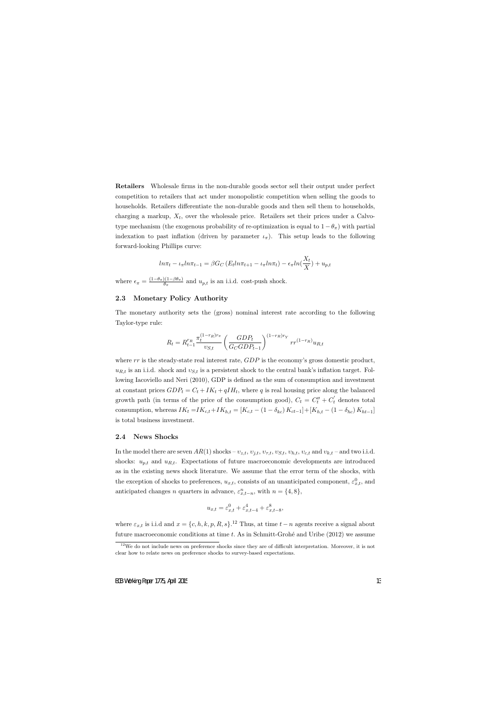**Retailers** Wholesale firms in the non-durable goods sector sell their output under perfect competition to retailers that act under monopolistic competition when selling the goods to households. Retailers differentiate the non-durable goods and then sell them to households, charging a markup,  $X_t$ , over the wholesale price. Retailers set their prices under a Calvotype mechanism (the exogenous probability of re-optimization is equal to  $1 - \theta_{\pi}$ ) with partial indexation to past inflation (driven by parameter  $i_{\pi}$ ). This setup leads to the following forward-looking Phillips curve:

$$
ln\pi_t - \iota_\pi ln\pi_{t-1} = \beta G_C \left( E_t ln\pi_{t+1} - \iota_\pi ln\pi_t \right) - \epsilon_\pi ln(\frac{X_t}{X}) + u_{p,t}
$$

where  $\epsilon_{\pi} = \frac{(1-\theta_{\pi})(1-\beta\theta_{\pi})}{\theta_{\pi}}$  and  $u_{p,t}$  is an i.i.d. cost-push shock.

#### **2.3 Monetary Policy Authority**

The monetary authority sets the (gross) nominal interest rate according to the following Taylor-type rule:

$$
R_t = R_{t-1}^{r_R} \frac{\pi_t^{(1-r_R)r_{\pi}}}{v_{S,t}} \left(\frac{GDP_t}{G_C GDP_{t-1}}\right)^{(1-r_R)r_Y} rr^{(1-r_R)} u_{R,t}
$$

where *rr* is the steady-state real interest rate, *GDP* is the economy's gross domestic product,  $u_{R,t}$  is an i.i.d. shock and  $v_{S,t}$  is a persistent shock to the central bank's inflation target. Following Iacoviello and Neri (2010), GDP is defined as the sum of consumption and investment at constant prices  $GDP_t = C_t + IK_t + qIH_t$ , where q is real housing price along the balanced growth path (in terms of the price of the consumption good),  $C_t = C_t'' + C_t'$  denotes total consumption, whereas  $IK_t = IK_{c,t} + IK_{h,t} = [K_{c,t} - (1 - \delta_{kc}) K_{ct-1}] + [K_{h,t} - (1 - \delta_{hc}) K_{ht-1}]$ is total business investment.

#### **2.4 News Shocks**

In the model there are seven  $AR(1)$  shocks –  $v_{z,t}$ ,  $v_{j,t}$ ,  $v_{\tau,t}$ ,  $v_{S,t}$ ,  $v_{h,t}$ ,  $v_{c,t}$  and  $v_{k,t}$  – and two i.i.d. shocks:  $u_{p,t}$  and  $u_{R,t}$ . Expectations of future macroeconomic developments are introduced as in the existing news shock literature. We assume that the error term of the shocks, with the exception of shocks to preferences,  $u_{x,t}$ , consists of an unanticipated component,  $\varepsilon_{x,t}^0$ , and anticipated changes *n* quarters in advance,  $\varepsilon_{x,t-n}^n$ , with  $n = \{4, 8\}$ ,

$$
u_{x,t} = \varepsilon_{x,t}^0 + \varepsilon_{x,t-4}^4 + \varepsilon_{x,t-8}^8,
$$

where  $\varepsilon_{x,t}$  is i.i.d and  $x = \{c, h, k, p, R, s\}$ .<sup>12</sup> Thus, at time  $t - n$  agents receive a signal about future macroeconomic conditions at time *t*. As in Schmitt-Grohé and Uribe (2012) we assume

 $12$ We do not include news on preference shocks since they are of difficult interpretation. Moreover, it is not clear how to relate news on preference shocks to survey-based expectations.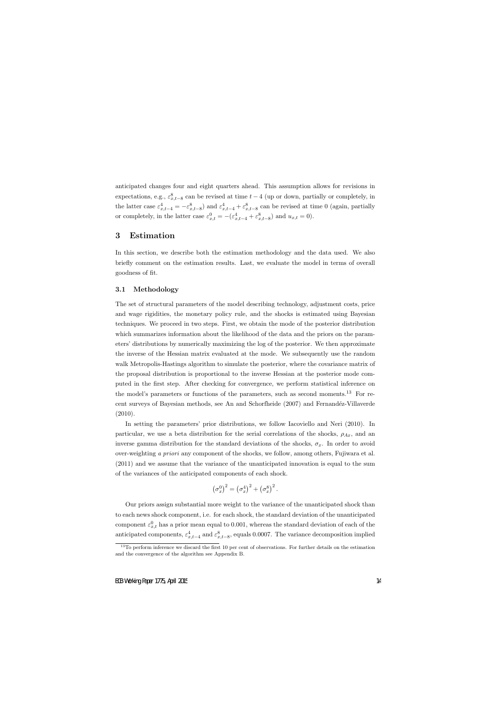anticipated changes four and eight quarters ahead. This assumption allows for revisions in expectations, e.g.,  $\varepsilon_{x,t-8}^8$  can be revised at time  $t-4$  (up or down, partially or completely, in the latter case  $\varepsilon_{x,t-4}^4 = -\varepsilon_{x,t-8}^8$  and  $\varepsilon_{x,t-4}^4 + \varepsilon_{x,t-8}^8$  can be revised at time 0 (again, partially or completely, in the latter case  $\varepsilon_{x,t}^0 = -(\varepsilon_{x,t-4}^4 + \varepsilon_{x,t-8}^8)$  and  $u_{x,t} = 0$ ).

## **3 Estimation**

In this section, we describe both the estimation methodology and the data used. We also briefly comment on the estimation results. Last, we evaluate the model in terms of overall goodness of fit.

#### **3.1 Methodology**

The set of structural parameters of the model describing technology, adjustment costs, price and wage rigidities, the monetary policy rule, and the shocks is estimated using Bayesian techniques. We proceed in two steps. First, we obtain the mode of the posterior distribution which summarizes information about the likelihood of the data and the priors on the parameters' distributions by numerically maximizing the log of the posterior. We then approximate the inverse of the Hessian matrix evaluated at the mode. We subsequently use the random walk Metropolis-Hastings algorithm to simulate the posterior, where the covariance matrix of the proposal distribution is proportional to the inverse Hessian at the posterior mode computed in the first step. After checking for convergence, we perform statistical inference on the model's parameters or functions of the parameters, such as second moments.<sup>13</sup> For recent surveys of Bayesian methods, see An and Schorfheide (2007) and Fernandéz-Villaverde (2010).

In setting the parameters' prior distributions, we follow Iacoviello and Neri (2010). In particular, we use a beta distribution for the serial correlations of the shocks,  $\rho_{Ax}$ , and an inverse gamma distribution for the standard deviations of the shocks,  $\sigma_x$ . In order to avoid over-weighting *a priori* any component of the shocks, we follow, among others, Fujiwara et al. (2011) and we assume that the variance of the unanticipated innovation is equal to the sum of the variances of the anticipated components of each shock.

$$
\left(\sigma_x^0\right)^2 = \left(\sigma_x^4\right)^2 + \left(\sigma_x^8\right)^2.
$$

Our priors assign substantial more weight to the variance of the unanticipated shock than to each news shock component, i.e. for each shock, the standard deviation of the unanticipated component  $\varepsilon_{x,t}^0$  has a prior mean equal to 0.001, whereas the standard deviation of each of the anticipated components,  $\varepsilon_{x,t-4}^4$  and  $\varepsilon_{x,t-8}^8$ , equals 0.0007. The variance decomposition implied

<sup>&</sup>lt;sup>13</sup>To perform inference we discard the first 10 per cent of observations. For further details on the estimation and the convergence of the algorithm see Appendix B.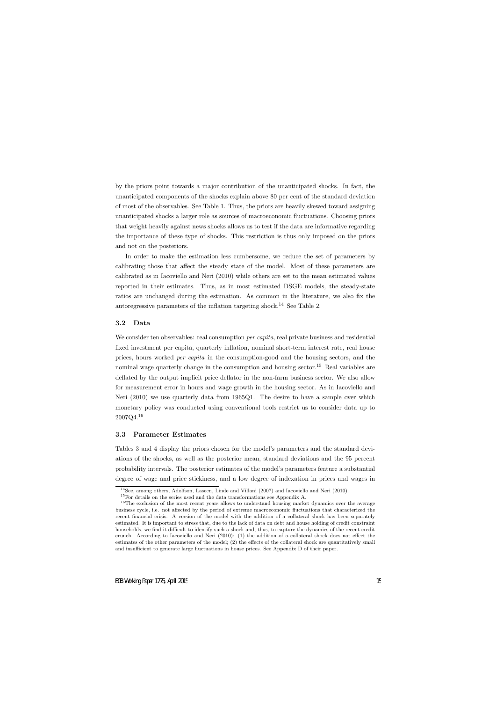by the priors point towards a major contribution of the unanticipated shocks. In fact, the unanticipated components of the shocks explain above 80 per cent of the standard deviation of most of the observables. See Table 1. Thus, the priors are heavily skewed toward assigning unanticipated shocks a larger role as sources of macroeconomic fluctuations. Choosing priors that weight heavily against news shocks allows us to test if the data are informative regarding the importance of these type of shocks. This restriction is thus only imposed on the priors and not on the posteriors.

In order to make the estimation less cumbersome, we reduce the set of parameters by calibrating those that affect the steady state of the model. Most of these parameters are calibrated as in Iacoviello and Neri (2010) while others are set to the mean estimated values reported in their estimates. Thus, as in most estimated DSGE models, the steady-state ratios are unchanged during the estimation. As common in the literature, we also fix the autoregressive parameters of the inflation targeting shock.<sup>14</sup> See Table 2.

#### **3.2 Data**

We consider ten observables: real consumption *per capita*, real private business and residential fixed investment per capita, quarterly inflation, nominal short-term interest rate, real house prices, hours worked *per capita* in the consumption-good and the housing sectors, and the nominal wage quarterly change in the consumption and housing sector.<sup>15</sup> Real variables are deflated by the output implicit price deflator in the non-farm business sector. We also allow for measurement error in hours and wage growth in the housing sector. As in Iacoviello and Neri (2010) we use quarterly data from 1965Q1. The desire to have a sample over which monetary policy was conducted using conventional tools restrict us to consider data up to 2007Q4.<sup>16</sup>

#### **3.3 Parameter Estimates**

Tables 3 and 4 display the priors chosen for the model's parameters and the standard deviations of the shocks, as well as the posterior mean, standard deviations and the 95 percent probability intervals. The posterior estimates of the model's parameters feature a substantial degree of wage and price stickiness, and a low degree of indexation in prices and wages in

<sup>&</sup>lt;sup>14</sup>See, among others, Adolfson, Laseen, Linde and Villani (2007) and Iacoviello and Neri (2010).

<sup>15</sup>For details on the series used and the data transformations see Appendix A.

<sup>&</sup>lt;sup>16</sup>The exclusion of the most recent years allows to understand housing market dynamics over the average business cycle, i.e. not affected by the period of extreme macroeconomic fluctuations that characterized the recent financial crisis. A version of the model with the addition of a collateral shock has been separately estimated. It is important to stress that, due to the lack of data on debt and house holding of credit constraint households, we find it difficult to identify such a shock and, thus, to capture the dynamics of the recent credit crunch. According to Iacoviello and Neri (2010): (1) the addition of a collateral shock does not effect the estimates of the other parameters of the model; (2) the effects of the collateral shock are quantitatively small and insufficient to generate large fluctuations in house prices. See Appendix D of their paper.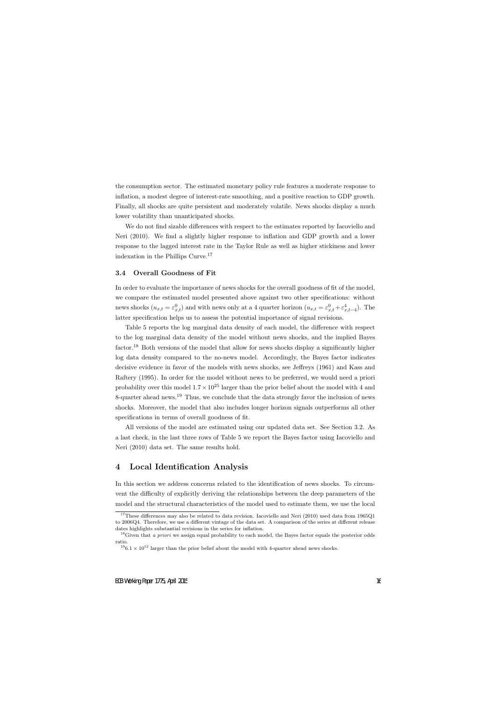the consumption sector. The estimated monetary policy rule features a moderate response to inflation, a modest degree of interest-rate smoothing, and a positive reaction to GDP growth. Finally, all shocks are quite persistent and moderately volatile. News shocks display a much lower volatility than unanticipated shocks.

We do not find sizable differences with respect to the estimates reported by Iacoviello and Neri (2010). We find a slightly higher response to inflation and GDP growth and a lower response to the lagged interest rate in the Taylor Rule as well as higher stickiness and lower indexation in the Phillips Curve.<sup>17</sup>

#### **3.4 Overall Goodness of Fit**

In order to evaluate the importance of news shocks for the overall goodness of fit of the model, we compare the estimated model presented above against two other specifications: without news shocks  $(u_{x,t} = \varepsilon_{x,t}^0)$  and with news only at a 4 quarter horizon  $(u_{x,t} = \varepsilon_{x,t}^0 + \varepsilon_{x,t-4}^4)$ . The latter specification helps us to assess the potential importance of signal revisions.

Table 5 reports the log marginal data density of each model, the difference with respect to the log marginal data density of the model without news shocks, and the implied Bayes factor.<sup>18</sup> Both versions of the model that allow for news shocks display a significantly higher log data density compared to the no-news model. Accordingly, the Bayes factor indicates decisive evidence in favor of the models with news shocks, see Jeffreys (1961) and Kass and Raftery (1995). In order for the model without news to be preferred, we would need a priori probability over this model  $1.7 \times 10^{25}$  larger than the prior belief about the model with 4 and 8-quarter ahead news.<sup>19</sup> Thus, we conclude that the data strongly favor the inclusion of news shocks. Moreover, the model that also includes longer horizon signals outperforms all other specifications in terms of overall goodness of fit.

All versions of the model are estimated using our updated data set. See Section 3.2. As a last check, in the last three rows of Table 5 we report the Bayes factor using Iacoviello and Neri (2010) data set. The same results hold.

# **4 Local Identification Analysis**

In this section we address concerns related to the identification of news shocks. To circumvent the difficulty of explicitly deriving the relationships between the deep parameters of the model and the structural characteristics of the model used to estimate them, we use the local

<sup>&</sup>lt;sup>17</sup>These differences may also be related to data revision. Iacoviello and Neri (2010) used data from 1965Q1 to 2006Q4. Therefore, we use a different vintage of the data set. A comparison of the series at different release dates highlights substantial revisions in the series for inflation.

<sup>&</sup>lt;sup>18</sup>Given that *a priori* we assign equal probability to each model, the Bayes factor equals the posterior odds ratio.

 $196.1 \times 10^{12}$  larger than the prior belief about the model with 4-quarter ahead news shocks.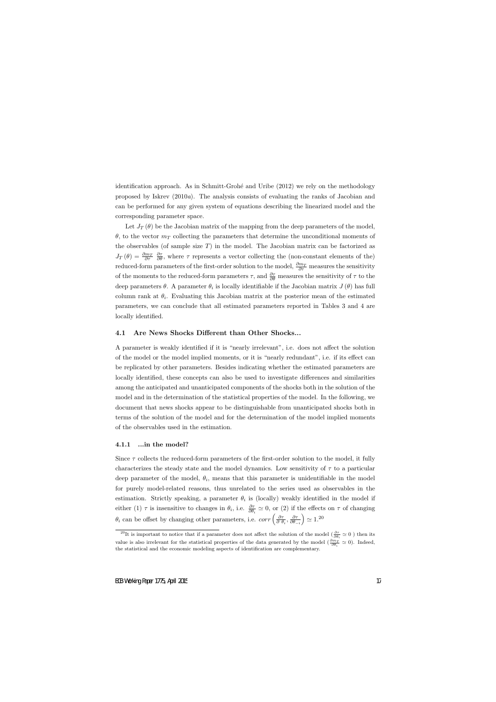identification approach. As in Schmitt-Grohé and Uribe (2012) we rely on the methodology proposed by Iskrev (2010*a*). The analysis consists of evaluating the ranks of Jacobian and can be performed for any given system of equations describing the linearized model and the corresponding parameter space.

Let  $J_T(\theta)$  be the Jacobian matrix of the mapping from the deep parameters of the model, *θ*, to the vector  $m<sub>T</sub>$  collecting the parameters that determine the unconditional moments of the observables (of sample size  $T$ ) in the model. The Jacobian matrix can be factorized as  $J_T(\theta) = \frac{\partial m_T}{\partial \tau}$  $\frac{\partial \tau}{\partial \theta}$ , where  $\tau$  represents a vector collecting the (non-constant elements of the) reduced-form parameters of the first-order solution to the model,  $\frac{\partial m_T}{\partial \tau}$  measures the sensitivity of the moments to the reduced-form parameters  $\tau$ , and  $\frac{\partial \tau}{\partial \theta}$  measures the sensitivity of  $\tau$  to the deep parameters *θ*. A parameter *θ<sup>i</sup>* is locally identifiable if the Jacobian matrix *J* (*θ*) has full column rank at  $\theta_i$ . Evaluating this Jacobian matrix at the posterior mean of the estimated parameters, we can conclude that all estimated parameters reported in Tables 3 and 4 are locally identified.

#### **4.1 Are News Shocks Different than Other Shocks...**

A parameter is weakly identified if it is "nearly irrelevant", i.e. does not affect the solution of the model or the model implied moments, or it is "nearly redundant", i.e. if its effect can be replicated by other parameters. Besides indicating whether the estimated parameters are locally identified, these concepts can also be used to investigate differences and similarities among the anticipated and unanticipated components of the shocks both in the solution of the model and in the determination of the statistical properties of the model. In the following, we document that news shocks appear to be distinguishable from unanticipated shocks both in terms of the solution of the model and for the determination of the model implied moments of the observables used in the estimation.

#### **4.1.1 ...in the model?**

Since  $\tau$  collects the reduced-form parameters of the first-order solution to the model, it fully characterizes the steady state and the model dynamics. Low sensitivity of *τ* to a particular deep parameter of the model,  $\theta_i$ , means that this parameter is unidentifiable in the model for purely model-related reasons, thus unrelated to the series used as observables in the estimation. Strictly speaking, a parameter  $\theta_i$  is (locally) weakly identified in the model if either (1)  $\tau$  is insensitive to changes in  $\theta_i$ , i.e.  $\frac{\partial \tau}{\partial \theta_i} \simeq 0$ , or (2) if the effects on  $\tau$  of changing  $\theta_i$  can be offset by changing other parameters, i.e. *corr*  $\left(\frac{\partial \tau}{\partial f}\right)$  $\frac{\partial \tau}{\partial \theta_i}, \frac{\partial \tau}{\partial \theta_-}$ *∂θ−<sup>i</sup>*  $)$  ≃ 1.<sup>20</sup>

<sup>&</sup>lt;sup>20</sup>It is important to notice that if a parameter does not affect the solution of the model ( $\frac{\partial \tau}{\partial \theta_i} \simeq 0$ ) then its value is also irrelevant for the statistical properties of the data generated by the model ( $\frac{\partial m_T}{\partial \theta_i} \simeq 0$ ). Indeed, the statistical and the economic modeling aspects of identification are complementary.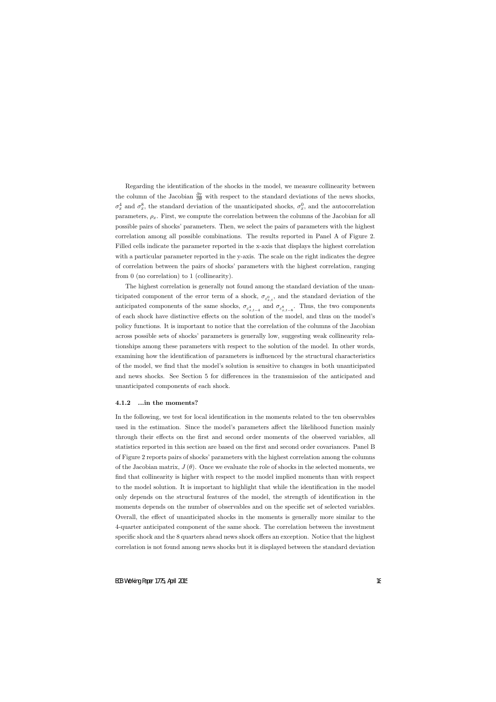Regarding the identification of the shocks in the model, we measure collinearity between the column of the Jacobian  $\frac{\partial \tau}{\partial \theta}$  with respect to the standard deviations of the news shocks,  $\sigma_x^4$  and  $\sigma_x^8$ , the standard deviation of the unanticipated shocks,  $\sigma_x^0$ , and the autocorrelation parameters,  $\rho_x$ . First, we compute the correlation between the columns of the Jacobian for all possible pairs of shocks' parameters. Then, we select the pairs of parameters with the highest correlation among all possible combinations. The results reported in Panel A of Figure 2. Filled cells indicate the parameter reported in the x-axis that displays the highest correlation with a particular parameter reported in the y-axis. The scale on the right indicates the degree of correlation between the pairs of shocks' parameters with the highest correlation, ranging from 0 (no correlation) to 1 (collinearity).

The highest correlation is generally not found among the standard deviation of the unanticipated component of the error term of a shock,  $\sigma_{\varepsilon_{x,t}^0}$ , and the standard deviation of the anticipated components of the same shocks,  $\sigma_{\varepsilon_{x,t-4}^4}$  and  $\sigma_{\varepsilon_{x,t-8}^8}$ . Thus, the two components of each shock have distinctive effects on the solution of the model, and thus on the model's policy functions. It is important to notice that the correlation of the columns of the Jacobian across possible sets of shocks' parameters is generally low, suggesting weak collinearity relationships among these parameters with respect to the solution of the model. In other words, examining how the identification of parameters is influenced by the structural characteristics of the model, we find that the model's solution is sensitive to changes in both unanticipated and news shocks. See Section 5 for differences in the transmission of the anticipated and unanticipated components of each shock.

#### **4.1.2 ...in the moments?**

In the following, we test for local identification in the moments related to the ten observables used in the estimation. Since the model's parameters affect the likelihood function mainly through their effects on the first and second order moments of the observed variables, all statistics reported in this section are based on the first and second order covariances. Panel B of Figure 2 reports pairs of shocks' parameters with the highest correlation among the columns of the Jacobian matrix,  $J(\theta)$ . Once we evaluate the role of shocks in the selected moments, we find that collinearity is higher with respect to the model implied moments than with respect to the model solution. It is important to highlight that while the identification in the model only depends on the structural features of the model, the strength of identification in the moments depends on the number of observables and on the specific set of selected variables. Overall, the effect of unanticipated shocks in the moments is generally more similar to the 4-quarter anticipated component of the same shock. The correlation between the investment specific shock and the 8 quarters ahead news shock offers an exception. Notice that the highest correlation is not found among news shocks but it is displayed between the standard deviation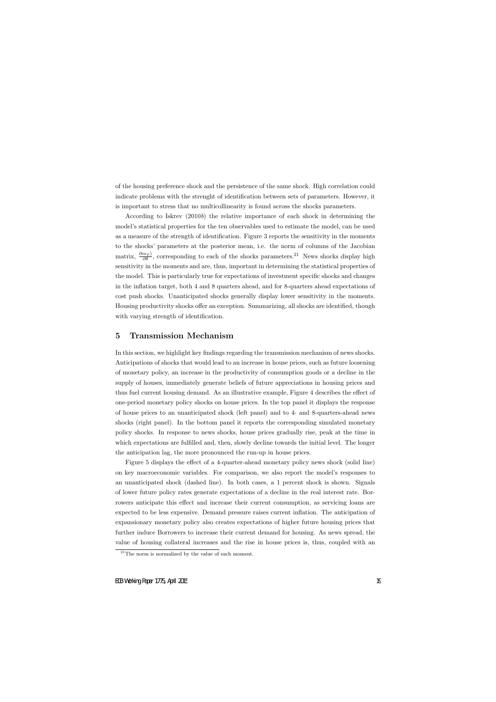of the housing preference shock and the persistence of the same shock. High correlation could indicate problems with the strenght of identification between sets of parameters. However, it is important to stress that no multicollinearity is found across the shocks parameters.

According to Iskrev (2010*b*) the relative importance of each shock in determining the model's statistical properties for the ten observables used to estimate the model, can be used as a measure of the strength of identification. Figure 3 reports the sensitivity in the moments to the shocks' parameters at the posterior mean, i.e. the norm of columns of the Jacobian matrix,  $\frac{\partial m_T}{\partial \theta}$ , corresponding to each of the shocks parameters.<sup>21</sup> News shocks display high sensitivity in the moments and are, thus, important in determining the statistical properties of the model. This is particularly true for expectations of investment specific shocks and changes in the inflation target, both 4 and 8 quarters ahead, and for 8-quarters ahead expectations of cost push shocks. Unanticipated shocks generally display lower sensitivity in the moments. Housing productivity shocks offer an exception. Summarizing, all shocks are identified, though with varying strength of identification.

# **5 Transmission Mechanism**

In this section, we highlight key findings regarding the transmission mechanism of news shocks. Anticipations of shocks that would lead to an increase in house prices, such as future loosening of monetary policy, an increase in the productivity of consumption goods or a decline in the supply of houses, immediately generate beliefs of future appreciations in housing prices and thus fuel current housing demand. As an illustrative example, Figure 4 describes the effect of one-period monetary policy shocks on house prices. In the top panel it displays the response of house prices to an unanticipated shock (left panel) and to 4- and 8-quarters-ahead news shocks (right panel). In the bottom panel it reports the corresponding simulated monetary policy shocks. In response to news shocks, house prices gradually rise, peak at the time in which expectations are fulfilled and, then, slowly decline towards the initial level. The longer the anticipation lag, the more pronounced the run-up in house prices.

Figure 5 displays the effect of a 4-quarter-ahead monetary policy news shock (solid line) on key macroeconomic variables. For comparison, we also report the model's responses to an unanticipated shock (dashed line). In both cases, a 1 percent shock is shown. Signals of lower future policy rates generate expectations of a decline in the real interest rate. Borrowers anticipate this effect and increase their current consumption, as servicing loans are expected to be less expensive. Demand pressure raises current inflation. The anticipation of expansionary monetary policy also creates expectations of higher future housing prices that further induce Borrowers to increase their current demand for housing. As news spread, the value of housing collateral increases and the rise in house prices is, thus, coupled with an

 $^{21}$ The norm is normalized by the value of each moment.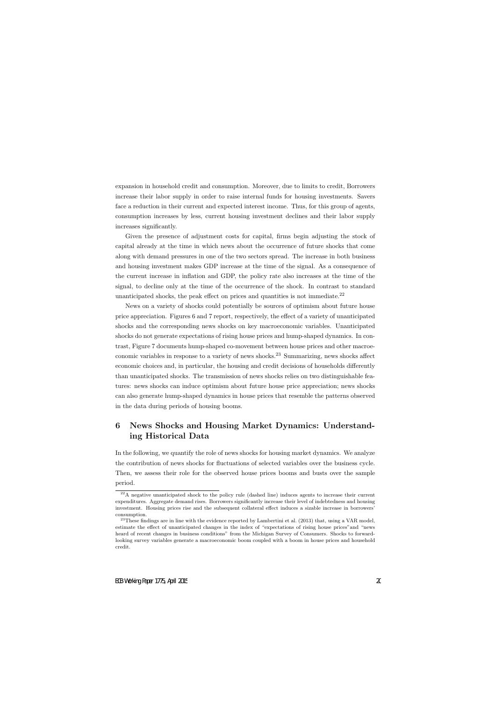expansion in household credit and consumption. Moreover, due to limits to credit, Borrowers increase their labor supply in order to raise internal funds for housing investments. Savers face a reduction in their current and expected interest income. Thus, for this group of agents, consumption increases by less, current housing investment declines and their labor supply increases significantly.

Given the presence of adjustment costs for capital, firms begin adjusting the stock of capital already at the time in which news about the occurrence of future shocks that come along with demand pressures in one of the two sectors spread. The increase in both business and housing investment makes GDP increase at the time of the signal. As a consequence of the current increase in inflation and GDP, the policy rate also increases at the time of the signal, to decline only at the time of the occurrence of the shock. In contrast to standard unanticipated shocks, the peak effect on prices and quantities is not immediate.<sup>22</sup>

News on a variety of shocks could potentially be sources of optimism about future house price appreciation. Figures 6 and 7 report, respectively, the effect of a variety of unanticipated shocks and the corresponding news shocks on key macroeconomic variables. Unanticipated shocks do not generate expectations of rising house prices and hump-shaped dynamics. In contrast, Figure 7 documents hump-shaped co-movement between house prices and other macroeconomic variables in response to a variety of news shocks.<sup>23</sup> Summarizing, news shocks affect economic choices and, in particular, the housing and credit decisions of households differently than unanticipated shocks. The transmission of news shocks relies on two distinguishable features: news shocks can induce optimism about future house price appreciation; news shocks can also generate hump-shaped dynamics in house prices that resemble the patterns observed in the data during periods of housing booms.

# **6 News Shocks and Housing Market Dynamics: Understanding Historical Data**

In the following, we quantify the role of news shocks for housing market dynamics. We analyze the contribution of news shocks for fluctuations of selected variables over the business cycle. Then, we assess their role for the observed house prices booms and busts over the sample period.

<sup>&</sup>lt;sup>22</sup>A negative unanticipated shock to the policy rule (dashed line) induces agents to increase their current expenditures. Aggregate demand rises. Borrowers significantly increase their level of indebtedness and housing investment. Housing prices rise and the subsequent collateral effect induces a sizable increase in borrowers' consumption.

 $^{23}$ These findings are in line with the evidence reported by Lambertini et al. (2013) that, using a VAR model, estimate the effect of unanticipated changes in the index of "expectations of rising house prices"and "news heard of recent changes in business conditions" from the Michigan Survey of Consumers. Shocks to forwardlooking survey variables generate a macroeconomic boom coupled with a boom in house prices and household credit.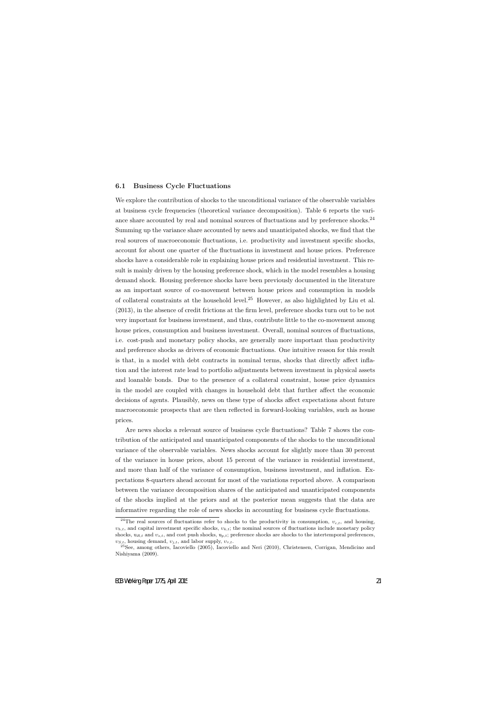#### **6.1 Business Cycle Fluctuations**

We explore the contribution of shocks to the unconditional variance of the observable variables at business cycle frequencies (theoretical variance decomposition). Table 6 reports the variance share accounted by real and nominal sources of fluctuations and by preference shocks.<sup>24</sup> Summing up the variance share accounted by news and unanticipated shocks, we find that the real sources of macroeconomic fluctuations, i.e. productivity and investment specific shocks, account for about one quarter of the fluctuations in investment and house prices. Preference shocks have a considerable role in explaining house prices and residential investment. This result is mainly driven by the housing preference shock, which in the model resembles a housing demand shock. Housing preference shocks have been previously documented in the literature as an important source of co-movement between house prices and consumption in models of collateral constraints at the household level.<sup>25</sup> However, as also highlighted by Liu et al. (2013), in the absence of credit frictions at the firm level, preference shocks turn out to be not very important for business investment, and thus, contribute little to the co-movement among house prices, consumption and business investment. Overall, nominal sources of fluctuations, i.e. cost-push and monetary policy shocks, are generally more important than productivity and preference shocks as drivers of economic fluctuations. One intuitive reason for this result is that, in a model with debt contracts in nominal terms, shocks that directly affect inflation and the interest rate lead to portfolio adjustments between investment in physical assets and loanable bonds. Due to the presence of a collateral constraint, house price dynamics in the model are coupled with changes in household debt that further affect the economic decisions of agents. Plausibly, news on these type of shocks affect expectations about future macroeconomic prospects that are then reflected in forward-looking variables, such as house prices.

Are news shocks a relevant source of business cycle fluctuations? Table 7 shows the contribution of the anticipated and unanticipated components of the shocks to the unconditional variance of the observable variables. News shocks account for slightly more than 30 percent of the variance in house prices, about 15 percent of the variance in residential investment, and more than half of the variance of consumption, business investment, and inflation. Expectations 8-quarters ahead account for most of the variations reported above. A comparison between the variance decomposition shares of the anticipated and unanticipated components of the shocks implied at the priors and at the posterior mean suggests that the data are informative regarding the role of news shocks in accounting for business cycle fluctuations.

<sup>&</sup>lt;sup>24</sup>The real sources of fluctuations refer to shocks to the productivity in consumption,  $v_{c,t}$ , and housing,  $v_{h,t}$ , and capital investment specific shocks,  $v_{k,t}$ ; the nominal sources of fluctuations include monetary policy shocks, u*R,t* and *υs,t*, and cost push shocks, u*p,t*; preference shocks are shocks to the intertemporal preferences,  $v_{S,t}$ , housing demand,  $v_{j,t}$ , and labor supply,  $v_{\tau,t}$ .

 $^{25}$ See, among others, Iacoviello (2005), Iacoviello and Neri (2010), Christensen, Corrigan, Mendicino and Nishiyama (2009).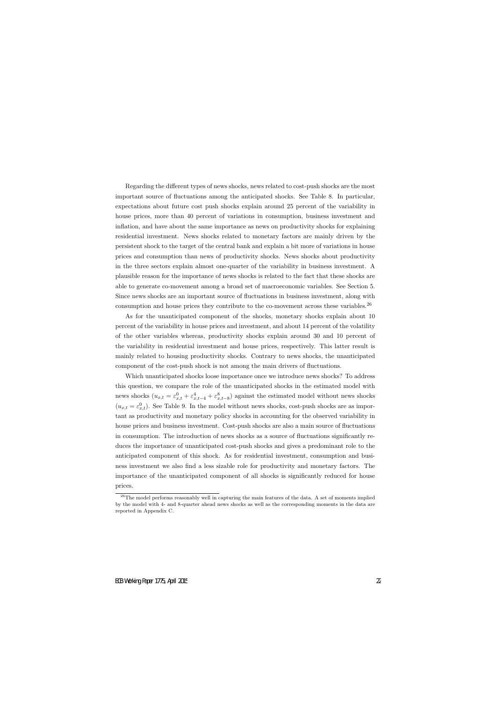Regarding the different types of news shocks, news related to cost-push shocks are the most important source of fluctuations among the anticipated shocks. See Table 8. In particular, expectations about future cost push shocks explain around 25 percent of the variability in house prices, more than 40 percent of variations in consumption, business investment and inflation, and have about the same importance as news on productivity shocks for explaining residential investment. News shocks related to monetary factors are mainly driven by the persistent shock to the target of the central bank and explain a bit more of variations in house prices and consumption than news of productivity shocks. News shocks about productivity in the three sectors explain almost one-quarter of the variability in business investment. A plausible reason for the importance of news shocks is related to the fact that these shocks are able to generate co-movement among a broad set of macroeconomic variables. See Section 5. Since news shocks are an important source of fluctuations in business investment, along with consumption and house prices they contribute to the co-movement across these variables.<sup>26</sup>

As for the unanticipated component of the shocks, monetary shocks explain about 10 percent of the variability in house prices and investment, and about 14 percent of the volatility of the other variables whereas, productivity shocks explain around 30 and 10 percent of the variability in residential investment and house prices, respectively. This latter result is mainly related to housing productivity shocks. Contrary to news shocks, the unanticipated component of the cost-push shock is not among the main drivers of fluctuations.

Which unanticipated shocks loose importance once we introduce news shocks? To address this question, we compare the role of the unanticipated shocks in the estimated model with news shocks  $(u_{x,t} = \varepsilon_{x,t}^0 + \varepsilon_{x,t-4}^4 + \varepsilon_{x,t-8}^8)$  against the estimated model without news shocks  $(u_{x,t} = \varepsilon_{x,t}^0)$ . See Table 9. In the model without news shocks, cost-push shocks are as important as productivity and monetary policy shocks in accounting for the observed variability in house prices and business investment. Cost-push shocks are also a main source of fluctuations in consumption. The introduction of news shocks as a source of fluctuations significantly reduces the importance of unanticipated cost-push shocks and gives a predominant role to the anticipated component of this shock. As for residential investment, consumption and business investment we also find a less sizable role for productivity and monetary factors. The importance of the unanticipated component of all shocks is significantly reduced for house prices.

 $26$ The model performs reasonably well in capturing the main features of the data. A set of moments implied by the model with 4- and 8-quarter ahead news shocks as well as the corresponding moments in the data are reported in Appendix C.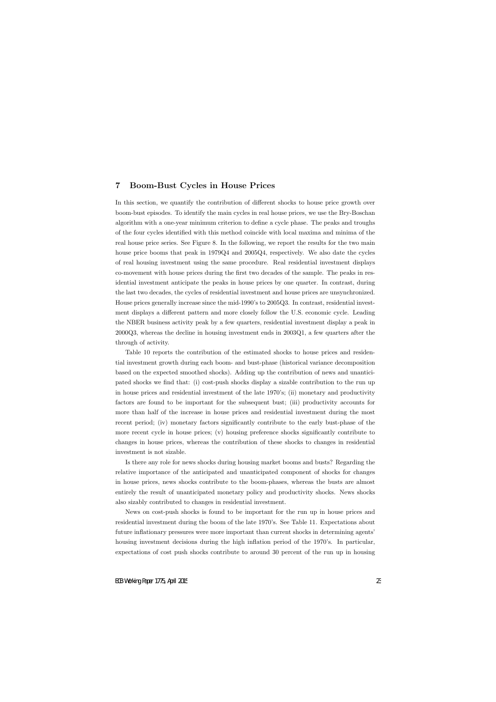# **7 Boom-Bust Cycles in House Prices**

In this section, we quantify the contribution of different shocks to house price growth over boom-bust episodes. To identify the main cycles in real house prices, we use the Bry-Boschan algorithm with a one-year minimum criterion to define a cycle phase. The peaks and troughs of the four cycles identified with this method coincide with local maxima and minima of the real house price series. See Figure 8. In the following, we report the results for the two main house price booms that peak in 1979Q4 and 2005Q4, respectively. We also date the cycles of real housing investment using the same procedure. Real residential investment displays co-movement with house prices during the first two decades of the sample. The peaks in residential investment anticipate the peaks in house prices by one quarter. In contrast, during the last two decades, the cycles of residential investment and house prices are unsynchronized. House prices generally increase since the mid-1990's to 2005Q3. In contrast, residential investment displays a different pattern and more closely follow the U.S. economic cycle. Leading the NBER business activity peak by a few quarters, residential investment display a peak in 2000Q3, whereas the decline in housing investment ends in 2003Q1, a few quarters after the through of activity.

Table 10 reports the contribution of the estimated shocks to house prices and residential investment growth during each boom- and bust-phase (historical variance decomposition based on the expected smoothed shocks). Adding up the contribution of news and unanticipated shocks we find that: (i) cost-push shocks display a sizable contribution to the run up in house prices and residential investment of the late 1970's; (ii) monetary and productivity factors are found to be important for the subsequent bust; (iii) productivity accounts for more than half of the increase in house prices and residential investment during the most recent period; (iv) monetary factors significantly contribute to the early bust-phase of the more recent cycle in house prices; (v) housing preference shocks significantly contribute to changes in house prices, whereas the contribution of these shocks to changes in residential investment is not sizable.

Is there any role for news shocks during housing market booms and busts? Regarding the relative importance of the anticipated and unanticipated component of shocks for changes in house prices, news shocks contribute to the boom-phases, whereas the busts are almost entirely the result of unanticipated monetary policy and productivity shocks. News shocks also sizably contributed to changes in residential investment.

News on cost-push shocks is found to be important for the run up in house prices and residential investment during the boom of the late 1970's. See Table 11. Expectations about future inflationary pressures were more important than current shocks in determining agents' housing investment decisions during the high inflation period of the 1970's. In particular, expectations of cost push shocks contribute to around 30 percent of the run up in housing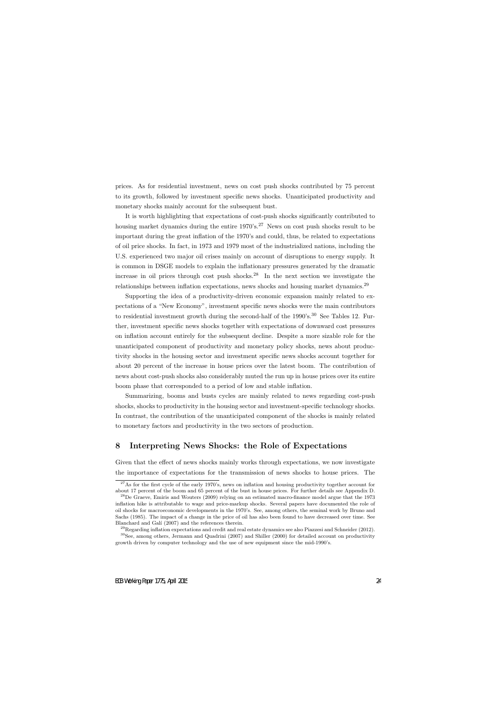prices. As for residential investment, news on cost push shocks contributed by 75 percent to its growth, followed by investment specific news shocks. Unanticipated productivity and monetary shocks mainly account for the subsequent bust.

It is worth highlighting that expectations of cost-push shocks significantly contributed to housing market dynamics during the entire  $1970's$ .<sup>27</sup> News on cost push shocks result to be important during the great inflation of the 1970's and could, thus, be related to expectations of oil price shocks. In fact, in 1973 and 1979 most of the industrialized nations, including the U.S. experienced two major oil crises mainly on account of disruptions to energy supply. It is common in DSGE models to explain the inflationary pressures generated by the dramatic increase in oil prices through cost push shocks.<sup>28</sup> In the next section we investigate the relationships between inflation expectations, news shocks and housing market dynamics.<sup>29</sup>

Supporting the idea of a productivity-driven economic expansion mainly related to expectations of a "New Economy", investment specific news shocks were the main contributors to residential investment growth during the second-half of the  $1990's$ .<sup>30</sup> See Tables 12. Further, investment specific news shocks together with expectations of downward cost pressures on inflation account entirely for the subsequent decline. Despite a more sizable role for the unanticipated component of productivity and monetary policy shocks, news about productivity shocks in the housing sector and investment specific news shocks account together for about 20 percent of the increase in house prices over the latest boom. The contribution of news about cost-push shocks also considerably muted the run up in house prices over its entire boom phase that corresponded to a period of low and stable inflation.

Summarizing, booms and busts cycles are mainly related to news regarding cost-push shocks, shocks to productivity in the housing sector and investment-specific technology shocks. In contrast, the contribution of the unanticipated component of the shocks is mainly related to monetary factors and productivity in the two sectors of production.

# **8 Interpreting News Shocks: the Role of Expectations**

Given that the effect of news shocks mainly works through expectations, we now investigate the importance of expectations for the transmission of news shocks to house prices. The

<sup>&</sup>lt;sup>27</sup>As for the first cycle of the early 1970's, news on inflation and housing productivity together account for about 17 percent of the boom and 65 percent of the bust in house prices. For further details see Appendix D.

 $^{28}$ De Graeve, Emiris and Wouters (2009) relying on an estimated macro-finance model argue that the 1973 inflation hike is attributable to wage and price-markup shocks. Several papers have documented the role of oil shocks for macroeconomic developments in the 1970's. See, among others, the seminal work by Bruno and Sachs (1985). The impact of a change in the price of oil has also been found to have decreased over time. See Blanchard and Galí (2007) and the references therein.

<sup>&</sup>lt;sup>29</sup>Regarding inflation expectations and credit and real estate dynamics see also Piazzesi and Schneider  $(2012)$ .

<sup>&</sup>lt;sup>30</sup>See, among others, Jermann and Quadrini (2007) and Shiller (2000) for detailed account on productivity growth driven by computer technology and the use of new equipment since the mid-1990's.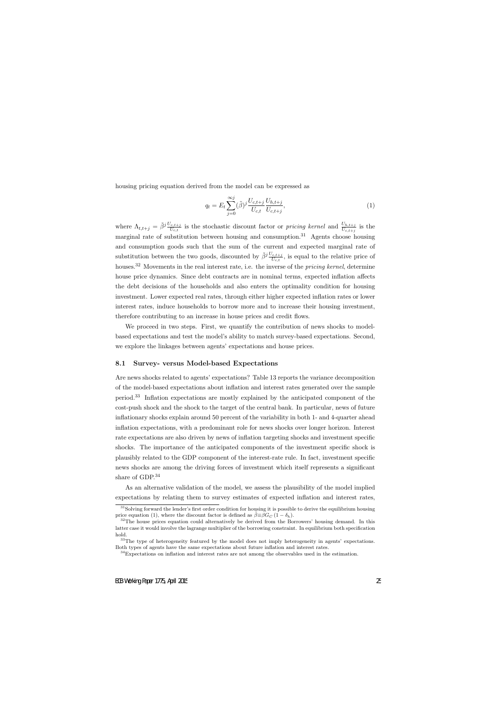housing pricing equation derived from the model can be expressed as

$$
q_t = E_t \sum_{j=0}^{\infty} (\tilde{\beta})^j \frac{U_{c,t+j}}{U_{c,t}} \frac{U_{h,t+j}}{U_{c,t+j}},
$$
\n(1)

where  $\Lambda_{t,t+j} = \tilde{\beta}^{j} \frac{U_{c,t+j}}{U_{c,t}}$  is the stochastic discount factor or *pricing kernel* and  $\frac{U_{h,t+j}}{U_{c,t+j}}$  is the marginal rate of substitution between housing and consumption.<sup>31</sup> Agents choose housing and consumption goods such that the sum of the current and expected marginal rate of substitution between the two goods, discounted by  $\tilde{\beta}^{j} \frac{U_{c,t+j}}{U_{c,t}}$ , is equal to the relative price of houses.<sup>32</sup> Movements in the real interest rate, i.e. the inverse of the *pricing kernel*, determine house price dynamics. Since debt contracts are in nominal terms, expected inflation affects the debt decisions of the households and also enters the optimality condition for housing investment. Lower expected real rates, through either higher expected inflation rates or lower interest rates, induce households to borrow more and to increase their housing investment, therefore contributing to an increase in house prices and credit flows.

We proceed in two steps. First, we quantify the contribution of news shocks to modelbased expectations and test the model's ability to match survey-based expectations. Second, we explore the linkages between agents' expectations and house prices.

#### **8.1 Survey- versus Model-based Expectations**

Are news shocks related to agents' expectations? Table 13 reports the variance decomposition of the model-based expectations about inflation and interest rates generated over the sample period.<sup>33</sup> Inflation expectations are mostly explained by the anticipated component of the cost-push shock and the shock to the target of the central bank. In particular, news of future inflationary shocks explain around 50 percent of the variability in both 1- and 4-quarter ahead inflation expectations, with a predominant role for news shocks over longer horizon. Interest rate expectations are also driven by news of inflation targeting shocks and investment specific shocks. The importance of the anticipated components of the investment specific shock is plausibly related to the GDP component of the interest-rate rule. In fact, investment specific news shocks are among the driving forces of investment which itself represents a significant share of GDP.<sup>34</sup>

As an alternative validation of the model, we assess the plausibility of the model implied expectations by relating them to survey estimates of expected inflation and interest rates,

 $31$ Solving forward the lender's first order condition for housing it is possible to derive the equilibrium housing price equation (1), where the discount factor is defined as  $\tilde{\beta} \equiv \beta G_C (1 - \delta_h)$ .

 $32$ The house prices equation could alternatively be derived from the Borrowers' housing demand. In this latter case it would involve the lagrange multiplier of the borrowing constraint. In equilibrium both specification hold.

<sup>&</sup>lt;sup>33</sup>The type of heterogeneity featured by the model does not imply heterogeneity in agents' expectations. Both types of agents have the same expectations about future inflation and interest rates.

<sup>&</sup>lt;sup>34</sup>Expectations on inflation and interest rates are not among the observables used in the estimation.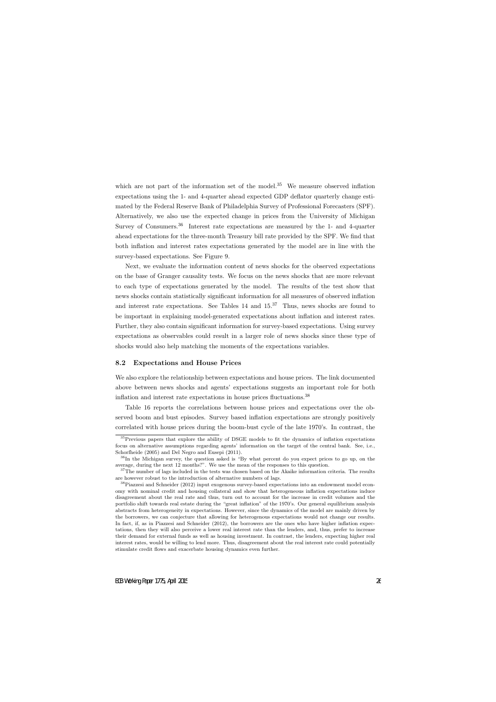which are not part of the information set of the model.<sup>35</sup> We measure observed inflation expectations using the 1- and 4-quarter ahead expected GDP deflator quarterly change estimated by the Federal Reserve Bank of Philadelphia Survey of Professional Forecasters (SPF). Alternatively, we also use the expected change in prices from the University of Michigan Survey of Consumers.<sup>36</sup> Interest rate expectations are measured by the 1- and 4-quarter ahead expectations for the three-month Treasury bill rate provided by the SPF. We find that both inflation and interest rates expectations generated by the model are in line with the survey-based expectations. See Figure 9.

Next, we evaluate the information content of news shocks for the observed expectations on the base of Granger causality tests. We focus on the news shocks that are more relevant to each type of expectations generated by the model. The results of the test show that news shocks contain statistically significant information for all measures of observed inflation and interest rate expectations. See Tables  $14$  and  $15^{37}$  Thus, news shocks are found to be important in explaining model-generated expectations about inflation and interest rates. Further, they also contain significant information for survey-based expectations. Using survey expectations as observables could result in a larger role of news shocks since these type of shocks would also help matching the moments of the expectations variables.

#### **8.2 Expectations and House Prices**

We also explore the relationship between expectations and house prices. The link documented above between news shocks and agents' expectations suggests an important role for both inflation and interest rate expectations in house prices fluctuations.<sup>38</sup>

Table 16 reports the correlations between house prices and expectations over the observed boom and bust episodes. Survey based inflation expectations are strongly positively correlated with house prices during the boom-bust cycle of the late 1970's. In contrast, the

<sup>35</sup>Previous papers that explore the ability of DSGE models to fit the dynamics of inflation expectations focus on alternative assumptions regarding agents' information on the target of the central bank. See, i.e., Schorfheide (2005) and Del Negro and Eusepi (2011).

<sup>&</sup>lt;sup>36</sup>In the Michigan survey, the question asked is "By what percent do you expect prices to go up, on the average, during the next 12 months?". We use the mean of the responses to this question.

<sup>&</sup>lt;sup>37</sup>The number of lags included in the tests was chosen based on the Akaike information criteria. The results are however robust to the introduction of alternative numbers of lags.

<sup>38</sup>Piazzesi and Schneider (2012) input exogenous survey-based expectations into an endowment model economy with nominal credit and housing collateral and show that heterogeneous inflation expectations induce disagreement about the real rate and thus, turn out to account for the increase in credit volumes and the portfolio shift towards real estate during the "great inflation" of the 1970's. Our general equilibrium analysis abstracts from heterogeneity in expectations. However, since the dynamics of the model are mainly driven by the borrowers, we can conjecture that allowing for heterogenous expectations would not change our results. In fact, if, as in Piazzesi and Schneider (2012), the borrowers are the ones who have higher inflation expectations, then they will also perceive a lower real interest rate than the lenders, and, thus, prefer to increase their demand for external funds as well as housing investment. In contrast, the lenders, expecting higher real interest rates, would be willing to lend more. Thus, disagreement about the real interest rate could potentially stimulate credit flows and exacerbate housing dynamics even further.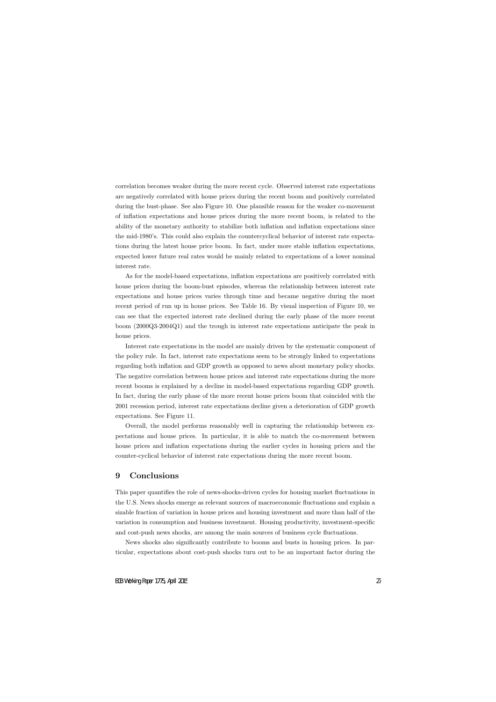correlation becomes weaker during the more recent cycle. Observed interest rate expectations are negatively correlated with house prices during the recent boom and positively correlated during the bust-phase. See also Figure 10. One plausible reason for the weaker co-movement of inflation expectations and house prices during the more recent boom, is related to the ability of the monetary authority to stabilize both inflation and inflation expectations since the mid-1980's. This could also explain the countercyclical behavior of interest rate expectations during the latest house price boom. In fact, under more stable inflation expectations, expected lower future real rates would be mainly related to expectations of a lower nominal interest rate.

As for the model-based expectations, inflation expectations are positively correlated with house prices during the boom-bust episodes, whereas the relationship between interest rate expectations and house prices varies through time and became negative during the most recent period of run up in house prices. See Table 16. By visual inspection of Figure 10, we can see that the expected interest rate declined during the early phase of the more recent boom (2000Q3-2004Q1) and the trough in interest rate expectations anticipate the peak in house prices.

Interest rate expectations in the model are mainly driven by the systematic component of the policy rule. In fact, interest rate expectations seem to be strongly linked to expectations regarding both inflation and GDP growth as opposed to news about monetary policy shocks. The negative correlation between house prices and interest rate expectations during the more recent booms is explained by a decline in model-based expectations regarding GDP growth. In fact, during the early phase of the more recent house prices boom that coincided with the 2001 recession period, interest rate expectations decline given a deterioration of GDP growth expectations. See Figure 11.

Overall, the model performs reasonably well in capturing the relationship between expectations and house prices. In particular, it is able to match the co-movement between house prices and inflation expectations during the earlier cycles in housing prices and the counter-cyclical behavior of interest rate expectations during the more recent boom.

# **9 Conclusions**

This paper quantifies the role of news-shocks-driven cycles for housing market fluctuations in the U.S. News shocks emerge as relevant sources of macroeconomic fluctuations and explain a sizable fraction of variation in house prices and housing investment and more than half of the variation in consumption and business investment. Housing productivity, investment-specific and cost-push news shocks, are among the main sources of business cycle fluctuations.

News shocks also significantly contribute to booms and busts in housing prices. In particular, expectations about cost-push shocks turn out to be an important factor during the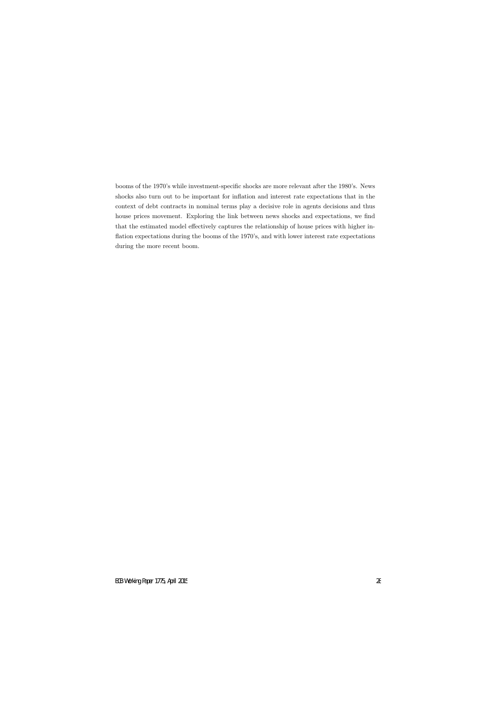booms of the 1970's while investment-specific shocks are more relevant after the 1980's. News shocks also turn out to be important for inflation and interest rate expectations that in the context of debt contracts in nominal terms play a decisive role in agents decisions and thus house prices movement. Exploring the link between news shocks and expectations, we find that the estimated model effectively captures the relationship of house prices with higher inflation expectations during the booms of the 1970's, and with lower interest rate expectations during the more recent boom.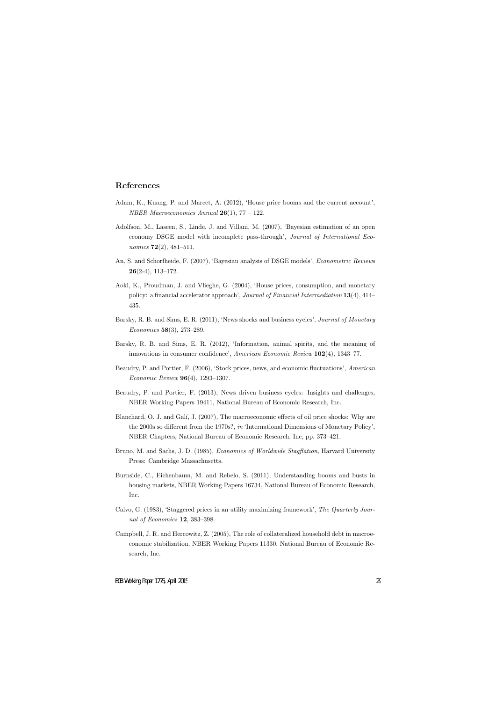### **References**

- Adam, K., Kuang, P. and Marcet, A. (2012), 'House price booms and the current account', *NBER Macroeconomics Annual* **26**(1), 77 – 122.
- Adolfson, M., Laseen, S., Linde, J. and Villani, M. (2007), 'Bayesian estimation of an open economy DSGE model with incomplete pass-through', *Journal of International Economics* **72**(2), 481–511.
- An, S. and Schorfheide, F. (2007), 'Bayesian analysis of DSGE models', *Econometric Reviews* **26**(2-4), 113–172.
- Aoki, K., Proudman, J. and Vlieghe, G. (2004), 'House prices, consumption, and monetary policy: a financial accelerator approach', *Journal of Financial Intermediation* **13**(4), 414– 435.
- Barsky, R. B. and Sims, E. R. (2011), 'News shocks and business cycles', *Journal of Monetary Economics* **58**(3), 273–289.
- Barsky, R. B. and Sims, E. R. (2012), 'Information, animal spirits, and the meaning of innovations in consumer confidence', *American Economic Review* **102**(4), 1343–77.
- Beaudry, P. and Portier, F. (2006), 'Stock prices, news, and economic fluctuations', *American Economic Review* **96**(4), 1293–1307.
- Beaudry, P. and Portier, F. (2013), News driven business cycles: Insights and challenges, NBER Working Papers 19411, National Bureau of Economic Research, Inc.
- Blanchard, O. J. and Gal´ı, J. (2007), The macroeconomic effects of oil price shocks: Why are the 2000s so different from the 1970s?, *in* 'International Dimensions of Monetary Policy', NBER Chapters, National Bureau of Economic Research, Inc, pp. 373–421.
- Bruno, M. and Sachs, J. D. (1985), *Economics of Worldwide Stagflation*, Harvard University Press: Cambridge Massachusetts.
- Burnside, C., Eichenbaum, M. and Rebelo, S. (2011), Understanding booms and busts in housing markets, NBER Working Papers 16734, National Bureau of Economic Research, Inc.
- Calvo, G. (1983), 'Staggered prices in an utility maximizing framework', *The Quarterly Journal of Economics* **12**, 383–398.
- Campbell, J. R. and Hercowitz, Z. (2005), The role of collateralized household debt in macroeconomic stabilization, NBER Working Papers 11330, National Bureau of Economic Research, Inc.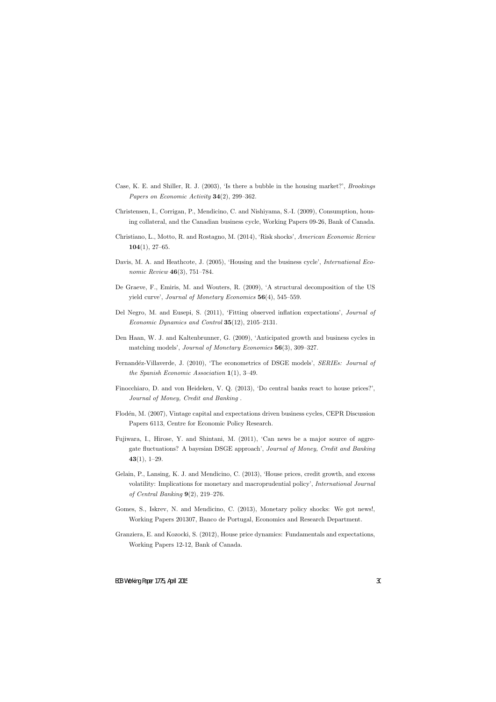- Case, K. E. and Shiller, R. J. (2003), 'Is there a bubble in the housing market?', *Brookings Papers on Economic Activity* **34**(2), 299–362.
- Christensen, I., Corrigan, P., Mendicino, C. and Nishiyama, S.-I. (2009), Consumption, housing collateral, and the Canadian business cycle, Working Papers 09-26, Bank of Canada.
- Christiano, L., Motto, R. and Rostagno, M. (2014), 'Risk shocks', *American Economic Review* **104**(1), 27–65.
- Davis, M. A. and Heathcote, J. (2005), 'Housing and the business cycle', *International Economic Review* **46**(3), 751–784.
- De Graeve, F., Emiris, M. and Wouters, R. (2009), 'A structural decomposition of the US yield curve', *Journal of Monetary Economics* **56**(4), 545–559.
- Del Negro, M. and Eusepi, S. (2011), 'Fitting observed inflation expectations', *Journal of Economic Dynamics and Control* **35**(12), 2105–2131.
- Den Haan, W. J. and Kaltenbrunner, G. (2009), 'Anticipated growth and business cycles in matching models', *Journal of Monetary Economics* **56**(3), 309–327.
- Fernand´ez-Villaverde, J. (2010), 'The econometrics of DSGE models', *SERIEs: Journal of the Spanish Economic Association* **1**(1), 3–49.
- Finocchiaro, D. and von Heideken, V. Q. (2013), 'Do central banks react to house prices?', *Journal of Money, Credit and Banking* .
- Flodén, M. (2007), Vintage capital and expectations driven business cycles, CEPR Discussion Papers 6113, Centre for Economic Policy Research.
- Fujiwara, I., Hirose, Y. and Shintani, M. (2011), 'Can news be a major source of aggregate fluctuations? A bayesian DSGE approach', *Journal of Money, Credit and Banking* **43**(1), 1–29.
- Gelain, P., Lansing, K. J. and Mendicino, C. (2013), 'House prices, credit growth, and excess volatility: Implications for monetary and macroprudential policy', *International Journal of Central Banking* **9**(2), 219–276.
- Gomes, S., Iskrev, N. and Mendicino, C. (2013), Monetary policy shocks: We got news!, Working Papers 201307, Banco de Portugal, Economics and Research Department.
- Granziera, E. and Kozocki, S. (2012), House price dynamics: Fundamentals and expectations, Working Papers 12-12, Bank of Canada.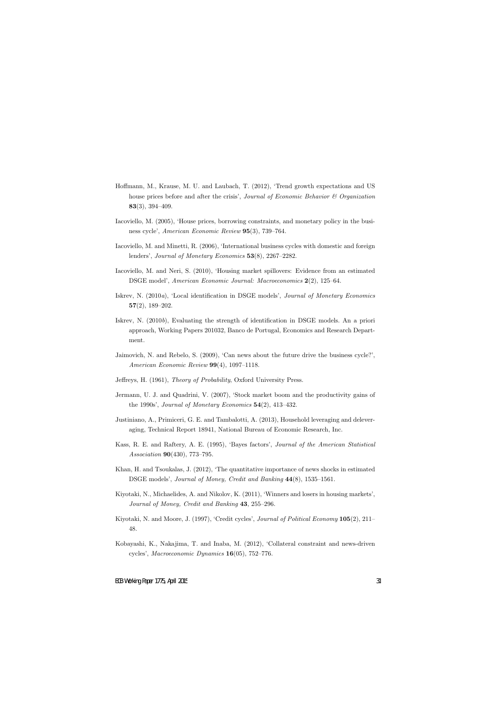- Hoffmann, M., Krause, M. U. and Laubach, T. (2012), 'Trend growth expectations and US house prices before and after the crisis', *Journal of Economic Behavior & Organization* **83**(3), 394–409.
- Iacoviello, M. (2005), 'House prices, borrowing constraints, and monetary policy in the business cycle', *American Economic Review* **95**(3), 739–764.
- Iacoviello, M. and Minetti, R. (2006), 'International business cycles with domestic and foreign lenders', *Journal of Monetary Economics* **53**(8), 2267–2282.
- Iacoviello, M. and Neri, S. (2010), 'Housing market spillovers: Evidence from an estimated DSGE model', *American Economic Journal: Macroeconomics* **2**(2), 125–64.
- Iskrev, N. (2010*a*), 'Local identification in DSGE models', *Journal of Monetary Economics* **57**(2), 189–202.
- Iskrev, N. (2010*b*), Evaluating the strength of identification in DSGE models. An a priori approach, Working Papers 201032, Banco de Portugal, Economics and Research Department.
- Jaimovich, N. and Rebelo, S. (2009), 'Can news about the future drive the business cycle?', *American Economic Review* **99**(4), 1097–1118.
- Jeffreys, H. (1961), *Theory of Probability*, Oxford University Press.
- Jermann, U. J. and Quadrini, V. (2007), 'Stock market boom and the productivity gains of the 1990s', *Journal of Monetary Economics* **54**(2), 413–432.
- Justiniano, A., Primiceri, G. E. and Tambalotti, A. (2013), Household leveraging and deleveraging, Technical Report 18941, National Bureau of Economic Research, Inc.
- Kass, R. E. and Raftery, A. E. (1995), 'Bayes factors', *Journal of the American Statistical Association* **90**(430), 773–795.
- Khan, H. and Tsoukalas, J. (2012), 'The quantitative importance of news shocks in estimated DSGE models', *Journal of Money, Credit and Banking* **44**(8), 1535–1561.
- Kiyotaki, N., Michaelides, A. and Nikolov, K. (2011), 'Winners and losers in housing markets', *Journal of Money, Credit and Banking* **43**, 255–296.
- Kiyotaki, N. and Moore, J. (1997), 'Credit cycles', *Journal of Political Economy* **105**(2), 211– 48.
- Kobayashi, K., Nakajima, T. and Inaba, M. (2012), 'Collateral constraint and news-driven cycles', *Macroeconomic Dynamics* **16**(05), 752–776.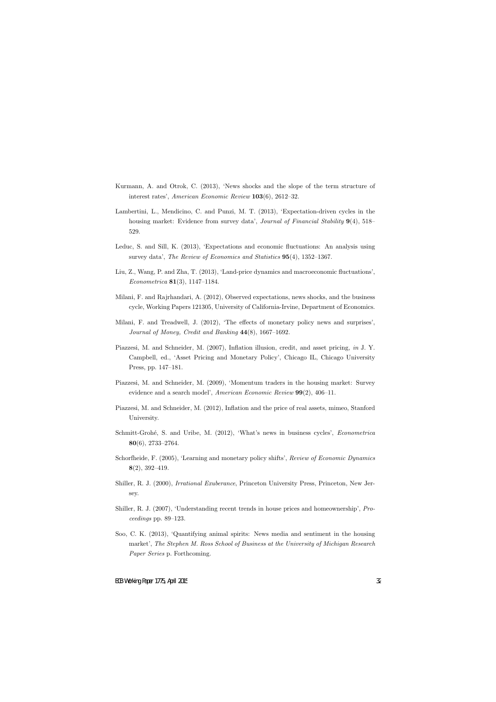- Kurmann, A. and Otrok, C. (2013), 'News shocks and the slope of the term structure of interest rates', *American Economic Review* **103**(6), 2612–32.
- Lambertini, L., Mendicino, C. and Punzi, M. T. (2013), 'Expectation-driven cycles in the housing market: Evidence from survey data', *Journal of Financial Stability* **9**(4), 518– 529.
- Leduc, S. and Sill, K. (2013), 'Expectations and economic fluctuations: An analysis using survey data', *The Review of Economics and Statistics* **95**(4), 1352–1367.
- Liu, Z., Wang, P. and Zha, T. (2013), 'Land-price dynamics and macroeconomic fluctuations', *Econometrica* **81**(3), 1147–1184.
- Milani, F. and Rajrhandari, A. (2012), Observed expectations, news shocks, and the business cycle, Working Papers 121305, University of California-Irvine, Department of Economics.
- Milani, F. and Treadwell, J. (2012), 'The effects of monetary policy news and surprises', *Journal of Money, Credit and Banking* **44**(8), 1667–1692.
- Piazzesi, M. and Schneider, M. (2007), Inflation illusion, credit, and asset pricing, *in* J. Y. Campbell, ed., 'Asset Pricing and Monetary Policy', Chicago IL, Chicago University Press, pp. 147–181.
- Piazzesi, M. and Schneider, M. (2009), 'Momentum traders in the housing market: Survey evidence and a search model', *American Economic Review* **99**(2), 406–11.
- Piazzesi, M. and Schneider, M. (2012), Inflation and the price of real assets, mimeo, Stanford University.
- Schmitt-Grohé, S. and Uribe, M. (2012), 'What's news in business cycles', *Econometrica* **80**(6), 2733–2764.
- Schorfheide, F. (2005), 'Learning and monetary policy shifts', *Review of Economic Dynamics* **8**(2), 392–419.
- Shiller, R. J. (2000), *Irrational Exuberance*, Princeton University Press, Princeton, New Jersey.
- Shiller, R. J. (2007), 'Understanding recent trends in house prices and homeownership', *Proceedings* pp. 89–123.
- Soo, C. K. (2013), 'Quantifying animal spirits: News media and sentiment in the housing market', *The Stephen M. Ross School of Business at the University of Michigan Research Paper Series* p. Forthcoming.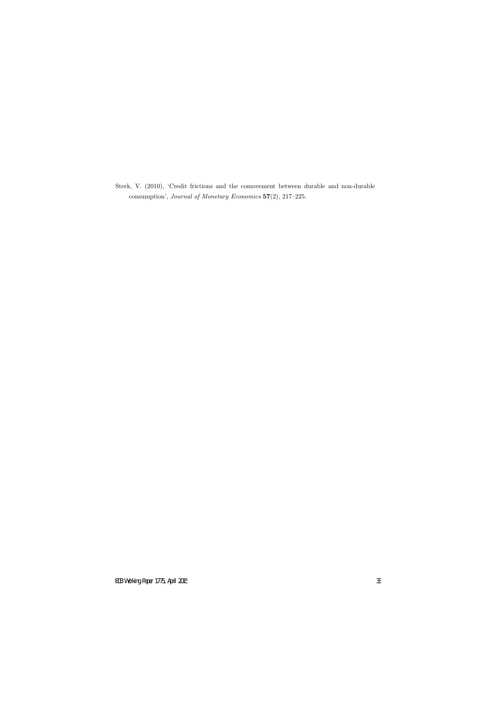Sterk, V. (2010), 'Credit frictions and the comovement between durable and non-durable consumption', *Journal of Monetary Economics* **57**(2), 217–225.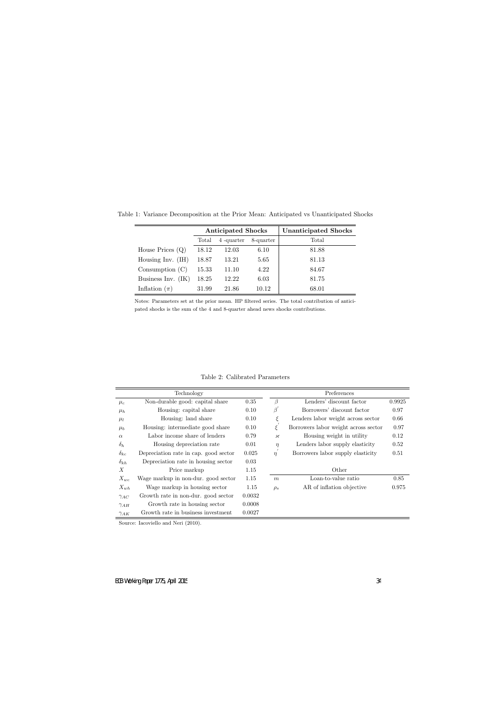|                      |       | <b>Anticipated Shocks</b> |       | <b>Unanticipated Shocks</b> |
|----------------------|-------|---------------------------|-------|-----------------------------|
|                      | Total | 4-quarter<br>8-quarter    |       | Total                       |
| House Prices $(Q)$   | 18.12 | 12.03                     | 6.10  | 81.88                       |
| Housing Inv. $(H)$   | 18.87 | 13.21                     | 5.65  | 81.13                       |
| Consumption $(C)$    | 15.33 | 11.10                     | 4.22  | 84.67                       |
| Business Inv. $(IK)$ | 18.25 | 12.22                     | 6.03  | 81.75                       |
| Inflation $(\pi)$    | 31.99 | 21.86                     | 10.12 | 68.01                       |

Table 1: Variance Decomposition at the Prior Mean: Anticipated vs Unanticipated Shocks

Notes: Parameters set at the prior mean. HP filtered series. The total contribution of anticipated shocks is the sum of the 4 and 8-quarter ahead news shocks contributions.

|               | Technology                            |        |                                             | Preferences                          |        |
|---------------|---------------------------------------|--------|---------------------------------------------|--------------------------------------|--------|
| $\mu_c$       | Non-durable good: capital share       | 0.35   | β                                           | Lenders' discount factor             | 0.9925 |
| $\mu_h$       | Housing: capital share                | 0.10   | $\beta$                                     | Borrowers' discount factor           | 0.97   |
| $\mu_l$       | Housing: land share                   | 0.10   | ξ                                           | Lenders labor weight across sector   | 0.66   |
| $\mu_b$       | Housing: intermediate good share      | 0.10   | Ċ                                           | Borrowers labor weight across sector | 0.97   |
| $\alpha$      | Labor income share of lenders         | 0.79   | $\boldsymbol{\varkappa}$                    | Housing weight in utility            | 0.12   |
| $\delta_h$    | Housing depreciation rate             | 0.01   | $\eta$                                      | Lenders labor supply elasticity      | 0.52   |
| $\delta_{kc}$ | Depreciation rate in cap. good sector | 0.025  | Borrowers labor supply elasticity<br>$\eta$ |                                      | 0.51   |
| $\delta_{kh}$ | Depreciation rate in housing sector   | 0.03   |                                             |                                      |        |
| X             | Price markup                          | 1.15   |                                             | Other                                |        |
| $X_{wc}$      | Wage markup in non-dur. good sector   | 1.15   | $\boldsymbol{m}$                            | Loan-to-value ratio                  | 0.85   |
| $X_{wh}$      | Wage markup in housing sector         | 1.15   | $\rho_s$                                    | AR of inflation objective            | 0.975  |
| $\gamma_{AC}$ | Growth rate in non-dur. good sector   | 0.0032 |                                             |                                      |        |
| $\gamma_{AH}$ | Growth rate in housing sector         | 0.0008 |                                             |                                      |        |
| $\gamma_{AK}$ | Growth rate in business investment    | 0.0027 |                                             |                                      |        |

Table 2: Calibrated Parameters

Source: Iacoviello and Neri (2010).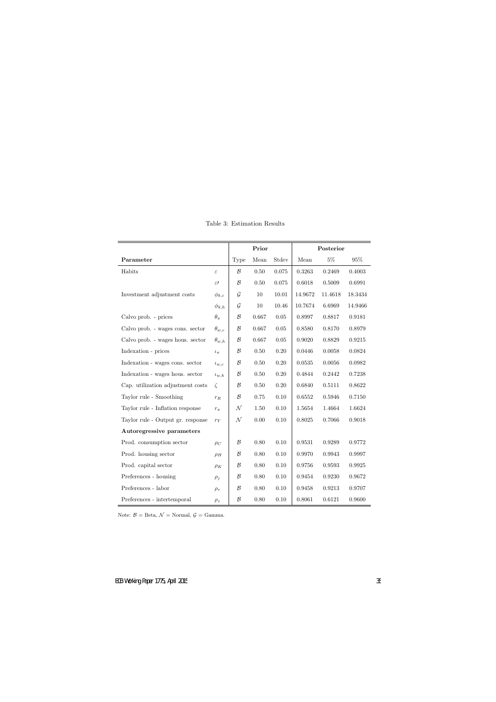|                                   |                 | Prior         |          |          | Posterior  |         |         |
|-----------------------------------|-----------------|---------------|----------|----------|------------|---------|---------|
| Parameter                         |                 | Type          | Mean     | Stdev    | Mean       | $5\%$   | $95\%$  |
| Habits                            | $\varepsilon$   | $\mathcal{B}$ | 0.50     | 0.075    | 0.3263     | 0.2469  | 0.4003  |
|                                   | $\varepsilon$ I | $\mathcal B$  | $0.50\,$ | 0.075    | 0.6018     | 0.5009  | 0.6991  |
| Investment adjustment costs       | $\phi_{k,c}$    | $\mathcal G$  | $10\,$   | 10.01    | 14.9672    | 11.4618 | 18.3434 |
|                                   | $\phi_{k,h}$    | $\mathcal G$  | $10\,$   | 10.46    | 10.7674    | 6.6969  | 14.9466 |
| Calvo prob. - prices              | $\theta_\pi$    | $\mathcal B$  | 0.667    | $0.05\,$ | 0.8997     | 0.8817  | 0.9181  |
| Calvo prob. - wages cons. sector  | $\theta_{w,c}$  | $\mathcal B$  | 0.667    | $0.05\,$ | 0.8580     | 0.8170  | 0.8979  |
| Calvo prob. - wages hous. sector  | $\theta_{w,h}$  | $\mathcal B$  | 0.667    | $0.05\,$ | $0.9020\,$ | 0.8829  | 0.9215  |
| Indexation - prices               | $\iota_\pi$     | $\mathcal B$  | $0.50\,$ | $0.20\,$ | 0.0446     | 0.0058  | 0.0824  |
| Indexation - wages cons. sector   | $\iota_{w,c}$   | $\mathcal{B}$ | $0.50\,$ | 0.20     | 0.0535     | 0.0056  | 0.0982  |
| Indexation - wages hous. sector   | $\iota_{w,h}$   | $\mathcal B$  | $0.50\,$ | $0.20\,$ | 0.4844     | 0.2442  | 0.7238  |
| Cap. utilization adjustment costs | $\zeta$         | $\mathcal{B}$ | $0.50\,$ | 0.20     | 0.6840     | 0.5111  | 0.8622  |
| Taylor rule - Smoothing           | $r_{\cal R}$    | $\mathcal B$  | 0.75     | 0.10     | 0.6552     | 0.5946  | 0.7150  |
| Taylor rule - Inflation response  | $r_\pi$         | ${\cal N}$    | $1.50\,$ | 0.10     | 1.5654     | 1.4664  | 1.6624  |
| Taylor rule - Output gr. response | $r_Y$           | ${\cal N}$    | 0.00     | 0.10     | 0.8025     | 0.7066  | 0.9018  |
| Autoregressive parameters         |                 |               |          |          |            |         |         |
| Prod. consumption sector          | $\rho_C$        | $\mathcal{B}$ | $0.80\,$ | 0.10     | 0.9531     | 0.9289  | 0.9772  |
| Prod. housing sector              | $\rho_H$        | $\mathcal{B}$ | 0.80     | 0.10     | 0.9970     | 0.9943  | 0.9997  |
| Prod. capital sector              | $\rho_K$        | $\mathcal B$  | $0.80\,$ | 0.10     | 0.9756     | 0.9593  | 0.9925  |
| Preferences - housing             | $\rho_j$        | $\mathcal B$  | $0.80\,$ | 0.10     | 0.9454     | 0.9230  | 0.9672  |
| Preferences - labor               | $\rho_{\tau}$   | $\mathcal B$  | $0.80\,$ | 0.10     | 0.9458     | 0.9213  | 0.9707  |
| Preferences - intertemporal       | $\rho_z$        | $\mathcal B$  | $0.80\,$ | 0.10     | 0.8061     | 0.6121  | 0.9600  |

Table 3: Estimation Results

Note:  $\mathcal{B} = \text{Beta}, \mathcal{N} = \text{Normal}, \mathcal{G} = \text{Gamma}.$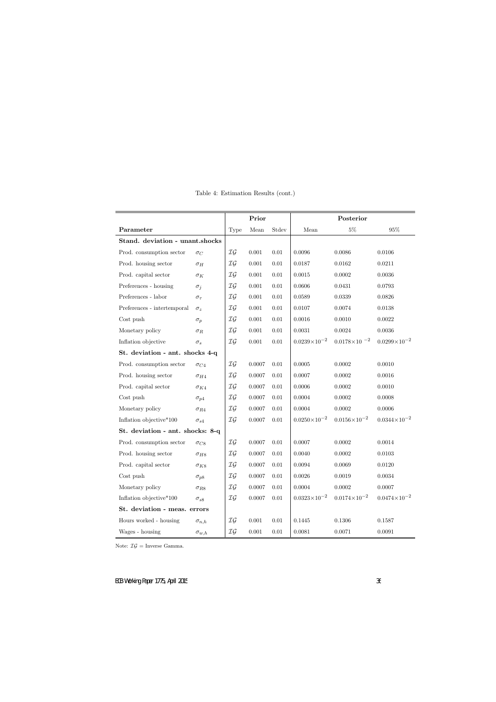|                                  |                 | Prior          |            |          | Posterior             |                       |                       |
|----------------------------------|-----------------|----------------|------------|----------|-----------------------|-----------------------|-----------------------|
| Parameter                        |                 | Type           | Mean       | Stdev    | Mean                  | $5\%$                 | $95\%$                |
| Stand. deviation - unant.shocks  |                 |                |            |          |                       |                       |                       |
| Prod. consumption sector         | $\sigma_C$      | IG             | $0.001\,$  | 0.01     | 0.0096                | 0.0086                | 0.0106                |
| Prod. housing sector             | $\sigma_H$      | IG             | $0.001\,$  | 0.01     | 0.0187                | 0.0162                | 0.0211                |
| Prod. capital sector             | $\sigma_K$      | IG             | 0.001      | 0.01     | 0.0015                | 0.0002                | 0.0036                |
| Preferences - housing            | $\sigma_j$      | $\mathcal{IG}$ | 0.001      | $0.01\,$ | 0.0606                | 0.0431                | 0.0793                |
| Preferences - labor              | $\sigma_{\tau}$ | $\mathcal{IG}$ | $0.001\,$  | 0.01     | 0.0589                | 0.0339                | 0.0826                |
| Preferences - intertemporal      | $\sigma_z$      | $\mathcal{IG}$ | 0.001      | 0.01     | 0.0107                | 0.0074                | 0.0138                |
| Cost push                        | $\sigma_p$      | IG             | $0.001\,$  | 0.01     | 0.0016                | 0.0010                | 0.0022                |
| Monetary policy                  | $\sigma_R$      | $\mathcal{IG}$ | $0.001\,$  | 0.01     | 0.0031                | 0.0024                | 0.0036                |
| Inflation objective              | $\sigma_s$      | $\mathcal{IG}$ | 0.001      | $0.01\,$ | $0.0239\times10^{-2}$ | $0.0178\times10^{-2}$ | $0.0299\times10^{-2}$ |
| St. deviation - ant. shocks 4-q  |                 |                |            |          |                       |                       |                       |
| Prod. consumption sector         | $\sigma_{C4}$   | IG             | 0.0007     | 0.01     | 0.0005                | 0.0002                | 0.0010                |
| Prod. housing sector             | $\sigma_{H4}$   | IG             | 0.0007     | 0.01     | 0.0007                | 0.0002                | 0.0016                |
| Prod. capital sector             | $\sigma_{K4}$   | IG             | 0.0007     | 0.01     | 0.0006                | 0.0002                | 0.0010                |
| Cost push                        | $\sigma_{p4}$   | IG             | 0.0007     | 0.01     | 0.0004                | $0.0002\,$            | 0.0008                |
| Monetary policy                  | $\sigma_{R4}$   | IG             | 0.0007     | 0.01     | 0.0004                | 0.0002                | 0.0006                |
| Inflation objective*100          | $\sigma_{s4}$   | $\mathcal{IG}$ | 0.0007     | 0.01     | $0.0250\times10^{-2}$ | $0.0156\times10^{-2}$ | $0.0344\times10^{-2}$ |
| St. deviation - ant. shocks: 8-q |                 |                |            |          |                       |                       |                       |
| Prod. consumption sector         | $\sigma_{C8}$   | IG             | 0.0007     | 0.01     | 0.0007                | 0.0002                | 0.0014                |
| Prod. housing sector             | $\sigma_{H8}$   | IG             | 0.0007     | 0.01     | 0.0040                | 0.0002                | 0.0103                |
| Prod. capital sector             | $\sigma_{K8}$   | $\mathcal{IG}$ | 0.0007     | 0.01     | 0.0094                | 0.0069                | 0.0120                |
| Cost push                        | $\sigma_{p8}$   | IG             | 0.0007     | $0.01\,$ | 0.0026                | 0.0019                | 0.0034                |
| Monetary policy                  | $\sigma_{R8}$   | $\mathcal{IG}$ | 0.0007     | 0.01     | 0.0004                | $0.0002\,$            | $0.0007\,$            |
| Inflation objective*100          | $\sigma_{s8}$   | $\mathcal{IG}$ | $0.0007\,$ | $0.01\,$ | $0.0323\times10^{-2}$ | $0.0174\times10^{-2}$ | $0.0474\times10^{-2}$ |
| St. deviation - meas. errors     |                 |                |            |          |                       |                       |                       |
| Hours worked - housing           | $\sigma_{n,h}$  | IG             | $0.001\,$  | $0.01\,$ | 0.1445                | $0.1306\,$            | 0.1587                |
| Wages - housing                  | $\sigma_{w,h}$  | $\mathcal{IG}$ | $0.001\,$  | 0.01     | 0.0081                | 0.0071                | 0.0091                |

# Table 4: Estimation Results (cont.)

Note:  $\mathcal{IG}$  = Inverse Gamma.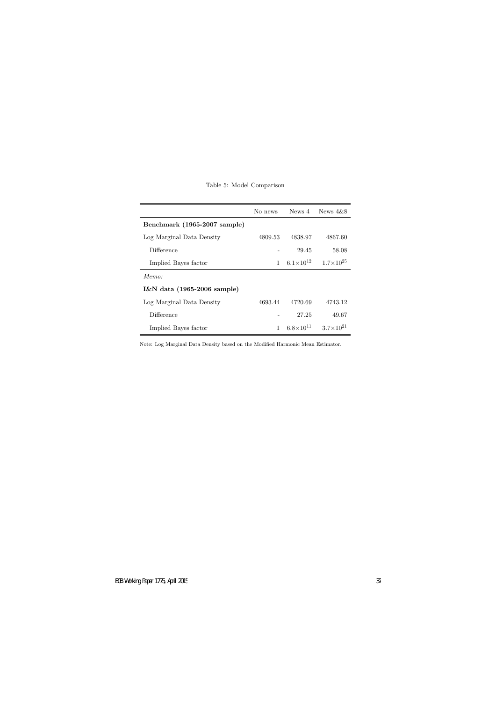|  | Table 5: Model Comparison |
|--|---------------------------|
|  |                           |

|                              | No news      |                      | News $4$ News $4\&8$                      |
|------------------------------|--------------|----------------------|-------------------------------------------|
| Benchmark (1965-2007 sample) |              |                      |                                           |
| Log Marginal Data Density    | 4809.53      | 4838.97              | 4867.60                                   |
| Difference                   |              | 29.45                | 58.08                                     |
| Implied Bayes factor         | $\mathbf{1}$ | $6.1 \times 10^{12}$ | $1.7\times10^{25}$                        |
| Memo:                        |              |                      |                                           |
| I&N data (1965-2006 sample)  |              |                      |                                           |
| Log Marginal Data Density    | 4693.44      | 4720.69              | 4743.12                                   |
| Difference                   |              | 27.25                | 49.67                                     |
| Implied Bayes factor         | 1            |                      | $6.8 \times 10^{11}$ $3.7 \times 10^{21}$ |

Note: Log Marginal Data Density based on the Modified Harmonic Mean Estimator.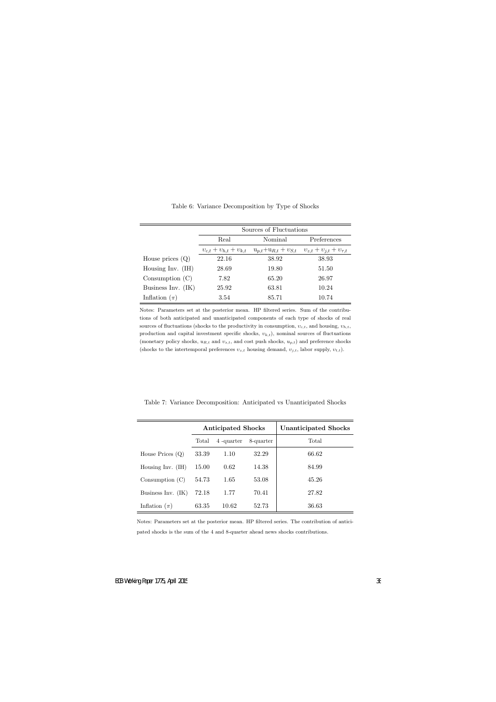|                      | Sources of Fluctuations |                                                                                              |             |  |  |  |  |  |
|----------------------|-------------------------|----------------------------------------------------------------------------------------------|-------------|--|--|--|--|--|
|                      | Real                    | Nominal                                                                                      | Preferences |  |  |  |  |  |
|                      |                         | $v_{c,t} + v_{h,t} + v_{k,t}$ $u_{p,t} + u_{R,t} + v_{S,t}$ $v_{z,t} + v_{j,t} + v_{\tau,t}$ |             |  |  |  |  |  |
| House prices $(Q)$   | 22.16                   | 38.92                                                                                        | 38.93       |  |  |  |  |  |
| Housing Inv. $(H)$   | 28.69                   | 19.80                                                                                        | 51.50       |  |  |  |  |  |
| Consumption $(C)$    | 7.82                    | 65.20                                                                                        | 26.97       |  |  |  |  |  |
| Business Inv. $(IK)$ | 25.92                   | 63.81                                                                                        | 10.24       |  |  |  |  |  |
| Inflation $(\pi)$    | 3.54                    | 85.71                                                                                        | 10.74       |  |  |  |  |  |

Table 6: Variance Decomposition by Type of Shocks

Notes: Parameters set at the posterior mean. HP filtered series. Sum of the contributions of both anticipated and unanticipated components of each type of shocks of real sources of fluctuations (shocks to the productivity in consumption,  $v_{c,t}$ , and housing,  $v_{h,t}$ , production and capital investment specific shocks, *υk,t*), nominal sources of fluctuations (monetary policy shocks, *uR,t* and *υs,t*, and cost push shocks, *up,t*) and preference shocks (shocks to the intertemporal preferences  $v_{z,t}$  housing demand,  $v_{j,t}$ , labor supply,  $v_{t,t}$ ).

Table 7: Variance Decomposition: Anticipated vs Unanticipated Shocks

|                     |       | <b>Anticipated Shocks</b> |           | <b>Unanticipated Shocks</b> |
|---------------------|-------|---------------------------|-----------|-----------------------------|
|                     | Total | 4 -quarter                | 8-quarter | Total                       |
| House Prices $(Q)$  | 33.39 | 1.10                      | 32.29     | 66.62                       |
| Housing Inv. $(IH)$ | 15.00 | 0.62                      | 14.38     | 84.99                       |
| Consumption $(C)$   | 54.73 | 1.65                      | 53.08     | 45.26                       |
| Business Inv. (IK)  | 72.18 | 1.77                      | 70.41     | 27.82                       |
| Inflation $(\pi)$   | 63.35 | 10.62                     | 52.73     | 36.63                       |

Notes: Parameters set at the posterior mean. HP filtered series. The contribution of anticipated shocks is the sum of the 4 and 8-quarter ahead news shocks contributions.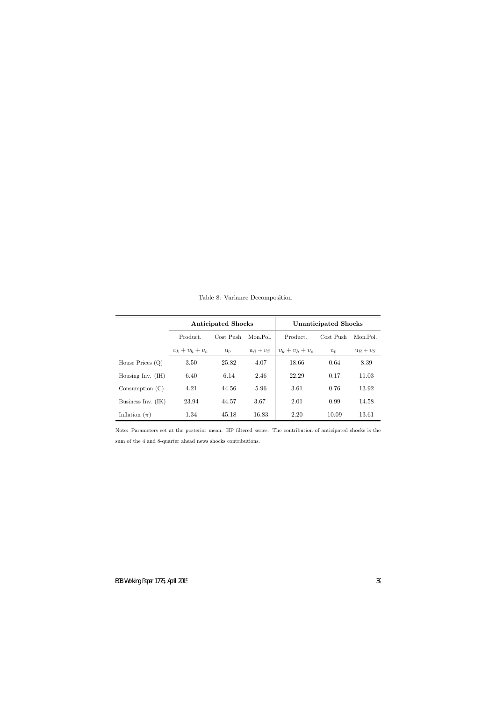|                      |                   | <b>Anticipated Shocks</b> |             | <b>Unanticipated Shocks</b> |           |             |  |
|----------------------|-------------------|---------------------------|-------------|-----------------------------|-----------|-------------|--|
|                      | Product.          | Cost Push                 | Mon.Pol.    | Product.                    | Cost Push | Mon.Pol.    |  |
|                      | $v_k + v_h + v_c$ | $u_p$                     | $u_R + v_S$ | $v_k + v_h + v_c$           | $u_p$     | $u_R + v_S$ |  |
| House Prices $(Q)$   | 3.50              | 25.82                     | 4.07        | 18.66                       | 0.64      | 8.39        |  |
| Housing Inv. $(IH)$  | 6.40              | 6.14                      | 2.46        | 22.29                       | 0.17      | 11.03       |  |
| Consumption $(C)$    | 4.21              | 44.56                     | 5.96        | 3.61                        | 0.76      | 13.92       |  |
| Business Inv. $(IK)$ | 23.94             | 44.57                     | 3.67        | 2.01                        | 0.99      | 14.58       |  |
| Inflation $(\pi)$    | 1.34              | 45.18                     | 16.83       | 2.20                        | 10.09     | 13.61       |  |

Table 8: Variance Decomposition

Note: Parameters set at the posterior mean. HP filtered series. The contribution of anticipated shocks is the sum of the 4 and 8-quarter ahead news shocks contributions.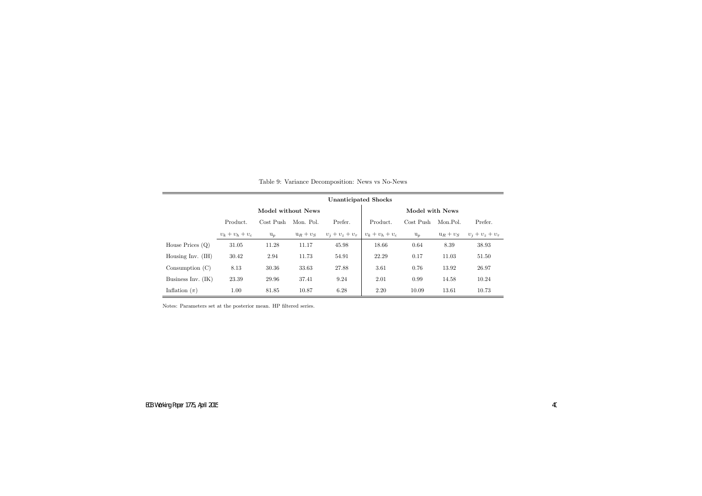|                      | <b>Unanticipated Shocks</b> |                    |             |                      |                   |           |             |                      |  |  |
|----------------------|-----------------------------|--------------------|-------------|----------------------|-------------------|-----------|-------------|----------------------|--|--|
|                      |                             | Model without News |             | Model with News      |                   |           |             |                      |  |  |
|                      | Product.                    | Cost Push          | Mon. Pol.   | Prefer.              | Product.          | Cost Push | Mon.Pol.    | Prefer.              |  |  |
|                      | $v_k + v_h + v_c$           | $u_p$              | $u_R + v_S$ | $v_i + v_z + v_\tau$ | $v_k + v_h + v_c$ | $u_p$     | $u_R + v_S$ | $v_i + v_z + v_\tau$ |  |  |
| House Prices $(Q)$   | 31.05                       | 11.28              | 11.17       | 45.98                | 18.66             | 0.64      | 8.39        | 38.93                |  |  |
| Housing Inv. $(IH)$  | 30.42                       | 2.94               | 11.73       | 54.91                | 22.29             | 0.17      | 11.03       | 51.50                |  |  |
| Consumption $(C)$    | 8.13                        | 30.36              | 33.63       | 27.88                | 3.61              | 0.76      | 13.92       | 26.97                |  |  |
| Business Inv. $(IK)$ | 23.39                       | 29.96              | 37.41       | 9.24                 | 2.01              | 0.99      | 14.58       | 10.24                |  |  |
| Inflation $(\pi)$    | 1.00                        | 81.85              | 10.87       | 6.28                 | 2.20              | 10.09     | 13.61       | 10.73                |  |  |

Table 9: Variance Decomposition: News vs No-News

Notes: Parameters set at the posterior mean. HP filtered series.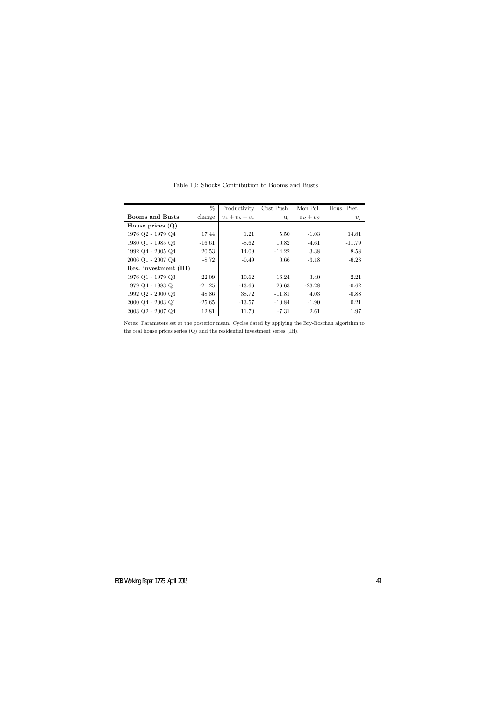|                                               | %        | Productivity      | Cost Push | Mon.Pol.    | Hous. Pref. |
|-----------------------------------------------|----------|-------------------|-----------|-------------|-------------|
| <b>Booms and Busts</b>                        | change   | $v_k + v_h + v_c$ | $u_p$     | $u_R + v_S$ | $v_i$       |
| House prices $(Q)$                            |          |                   |           |             |             |
| 1976 Q2 - 1979 Q4                             | 17.44    | 1.21              | 5.50      | $-1.03$     | 14.81       |
| 1980 Q1 - 1985 Q3                             | $-16.61$ | $-8.62$           | 10.82     | $-4.61$     | $-11.79$    |
| 1992 Q4 - 2005 Q4                             | 20.53    | 14.09             | $-14.22$  | 3.38        | 8.58        |
| $2006$ Q1 - $2007$ Q4                         | $-8.72$  | $-0.49$           | 0.66      | $-3.18$     | $-6.23$     |
| Res. investment (IH)                          |          |                   |           |             |             |
| 1976 Q1 - 1979 Q3                             | 22.09    | 10.62             | 16.24     | 3.40        | 2.21        |
| 1979 Q4 - 1983 Q1                             | $-21.25$ | $-13.66$          | 26.63     | $-23.28$    | $-0.62$     |
| $1992$ Q <sub>2</sub> - $2000$ Q <sub>3</sub> | 48.86    | 38.72             | $-11.81$  | 4.03        | $-0.88$     |
| $2000 \text{ Q}4 - 2003 \text{ Q}1$           | $-25.65$ | $-13.57$          | $-10.84$  | $-1.90$     | 0.21        |
| $2003$ Q <sub>2</sub> - $2007$ Q <sub>4</sub> | 12.81    | 11.70             | $-7.31$   | 2.61        | 1.97        |

Table 10: Shocks Contribution to Booms and Busts

Notes: Parameters set at the posterior mean. Cycles dated by applying the Bry-Boschan algorithm to the real house prices series (Q) and the residential investment series (IH).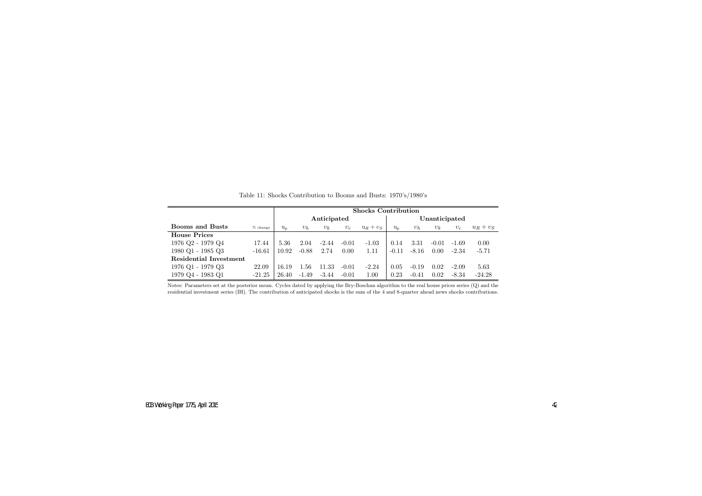|                               |            | <b>Shocks Contribution</b> |         |             |         |             |               |         |         |         |             |
|-------------------------------|------------|----------------------------|---------|-------------|---------|-------------|---------------|---------|---------|---------|-------------|
|                               |            |                            |         | Anticipated |         |             | Unanticipated |         |         |         |             |
| <b>Booms and Busts</b>        | $%$ change | $u_p$                      | $v_h$   | $v_k$       | $v_c$   | $u_R + v_S$ | $u_p$         | $v_h$   | $v_k$   | $v_c$   | $u_R + v_S$ |
| <b>House Prices</b>           |            |                            |         |             |         |             |               |         |         |         |             |
| 1976 Q2 - 1979 Q4             | 17.44      | 5.36                       | 2.04    | $-2.44$     | $-0.01$ | $-1.03$     | 0.14          | 3.31    | $-0.01$ | $-1.69$ | 0.00        |
| 1980 Q1 - 1985 Q3             | $-16.61$   | 10.92                      | $-0.88$ | 2.74        | 0.00    | 1.11        | $-0.11$       | $-8.16$ | 0.00    | $-2.34$ | $-5.71$     |
| <b>Residential Investment</b> |            |                            |         |             |         |             |               |         |         |         |             |
| 1976 Q1 - 1979 Q3             | 22.09      | 16.19                      | 1.56    | 11.33       | $-0.01$ | $-2.24$     | 0.05          | $-0.19$ | 0.02    | $-2.09$ | 5.63        |
| 1979 Q4 - 1983 Q1             | $-21.25$   | 26.40                      | $-1.49$ | $-3.44$     | $-0.01$ | 1.00        | 0.23          | $-0.41$ | 0.02    | $-8.34$ | $-24.28$    |

|  | Table 11: Shocks Contribution to Booms and Busts: 1970's/1980's |  |  |  |
|--|-----------------------------------------------------------------|--|--|--|
|  |                                                                 |  |  |  |

Notes: Parameters set at the posterior mean. Cycles dated by applying the Bry-Boschan algorithm to the real house prices series (Q) and theresidential investment series (IH). The contribution of anticipated shocks is the sum of the <sup>4</sup> and 8-quarter ahead news shocks contributions.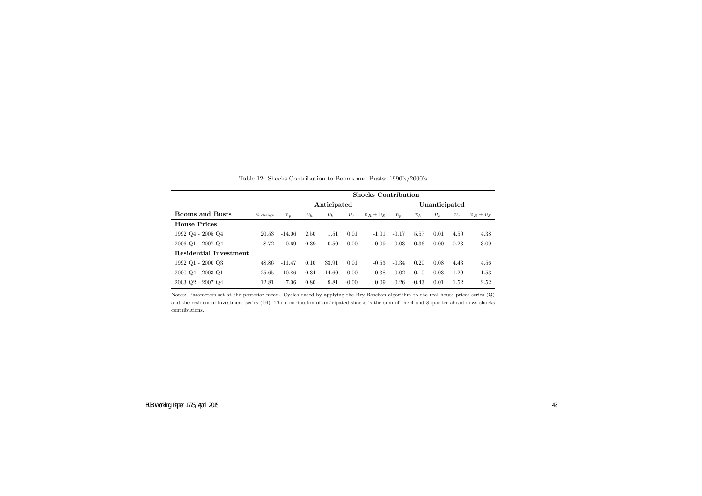|                                     |            |             | <b>Shocks Contribution</b> |          |         |             |         |               |         |         |             |  |
|-------------------------------------|------------|-------------|----------------------------|----------|---------|-------------|---------|---------------|---------|---------|-------------|--|
|                                     |            | Anticipated |                            |          |         |             |         | Unanticipated |         |         |             |  |
| <b>Booms and Busts</b>              | $%$ change | $u_p$       | $v_h$                      | $v_k$    | $v_c$   | $u_R + v_S$ | $u_p$   | $v_h$         | $v_k$   | $v_c$   | $u_R + v_S$ |  |
| <b>House Prices</b>                 |            |             |                            |          |         |             |         |               |         |         |             |  |
| 1992 Q4 - 2005 Q4                   | 20.53      | $-14.06$    | 2.50                       | 1.51     | 0.01    | $-1.01$     | $-0.17$ | 5.57          | 0.01    | 4.50    | 4.38        |  |
| $2006$ Q1 - $2007$ Q4               | $-8.72$    | 0.69        | $-0.39$                    | 0.50     | 0.00    | $-0.09$     | $-0.03$ | $-0.36$       | 0.00    | $-0.23$ | $-3.09$     |  |
| <b>Residential Investment</b>       |            |             |                            |          |         |             |         |               |         |         |             |  |
| 1992 Q1 - 2000 Q3                   | 48.86      | $-11.47$    | 0.10                       | 33.91    | 0.01    | $-0.53$     | $-0.34$ | 0.20          | 0.08    | 4.43    | 4.56        |  |
| $2000 \text{ Q}4 - 2003 \text{ Q}1$ | $-25.65$   | $-10.86$    | $-0.34$                    | $-14.60$ | 0.00    | $-0.38$     | 0.02    | 0.10          | $-0.03$ | 1.29    | $-1.53$     |  |
| $2003$ Q2 - $2007$ Q4               | 12.81      | $-7.06$     | 0.80                       | 9.81     | $-0.00$ | 0.09        | $-0.26$ | $-0.43$       | 0.01    | 1.52    | 2.52        |  |

Table 12: Shocks Contribution to Booms and Busts: 1990's/2000's

Notes: Parameters set at the posterior mean. Cycles dated by applying the Bry-Boschan algorithm to the real house prices series (Q)and the residential investment series (IH). The contribution of anticipated shocks is the sum of the <sup>4</sup> and 8-quarter ahead news shockscontributions.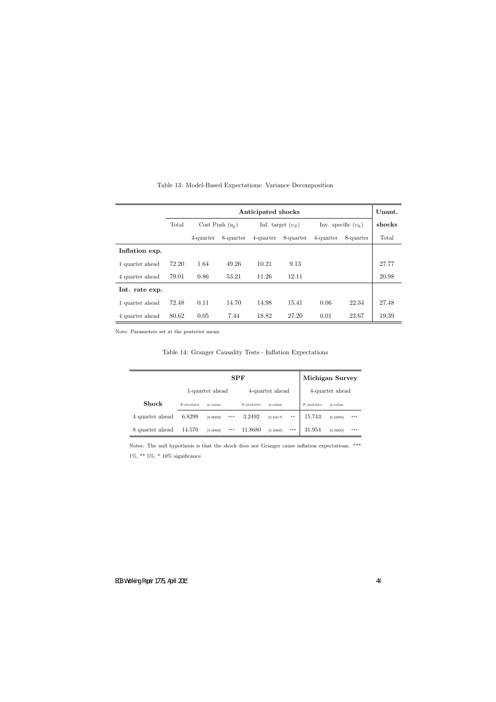|                 | Anticipated shocks |                   |           |                     |           |                       |           |       |  |  |
|-----------------|--------------------|-------------------|-----------|---------------------|-----------|-----------------------|-----------|-------|--|--|
|                 | Total              | Cost Push $(u_p)$ |           | Inf. target $(v_S)$ |           | Inv. specific $(v_k)$ | shocks    |       |  |  |
|                 |                    | 4-quarter         | 8-quarter | 4-quarter           | 8-quarter | 4-quarter             | 8-quarter | Total |  |  |
| Inflation exp.  |                    |                   |           |                     |           |                       |           |       |  |  |
| 1 quarter ahead | 72.20              | 1.64              | 49.26     | 10.21               | 9.13      |                       |           | 27.77 |  |  |
| 4 quarter ahead | 79.01              | 0.86              | 53.21     | 11.26               | 12.11     |                       |           | 20.98 |  |  |
| Int. rate exp.  |                    |                   |           |                     |           |                       |           |       |  |  |
| 1 quarter ahead | 72.48              | 0.11              | 14.70     | 14.98               | 15.41     | 0.06                  | 22.34     | 27.48 |  |  |
| 4 quarter ahead | 80.62              | 0.05              | 7.44      | 18.82               | 27.20     | 0.01                  | 23.67     | 19.39 |  |  |

Table 13: Model-Based Expectations: Variance Decomposition

Note: Parameters set at the posterior mean.

Table 14: Granger Causality Tests - Inflation Expectations

|                 |             |                 | <b>Michigan Survey</b> |             |                 |       |                 |          |     |
|-----------------|-------------|-----------------|------------------------|-------------|-----------------|-------|-----------------|----------|-----|
|                 |             | 1-quarter ahead |                        |             | 4-quarter ahead |       | 4-quarter ahead |          |     |
| <b>Shock</b>    | F-statistic | p-value         |                        | F-statistic | p-value         |       | F-statistic     | p-value  |     |
| 4 quarter ahead | 6.8299      | [0.0000]        | $***$                  | 3.2492      | [0.0417]        | $***$ | 15.743          | [0.0000] | *** |
| 8 quarter ahead | 14.570      | [0.0000]        | $***$                  | 11.8680     | [0.0000]        | $***$ | 31.954          | [0.0000] | *** |

Notes: The null hypothesis is that the shock does not Granger cause inflation expectations. \*\*\*  $1\%,$   $^{**}$  5%,  $^{*}$  10% significance.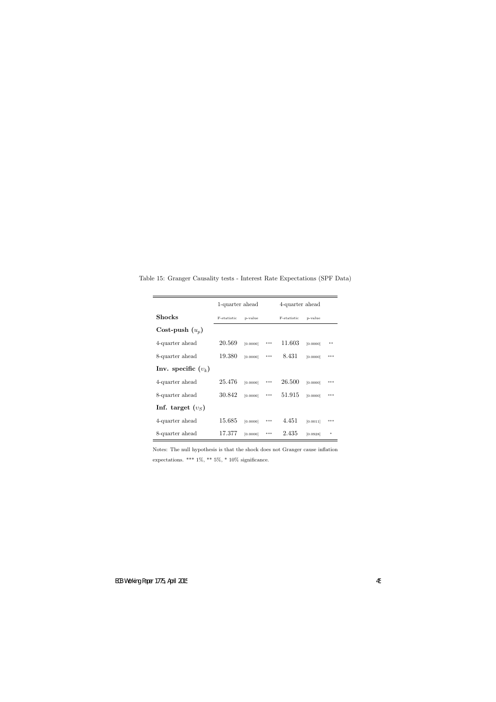|                       | 1-quarter ahead |          |                | 4-quarter ahead |          |        |
|-----------------------|-----------------|----------|----------------|-----------------|----------|--------|
| Shocks                | F-statistic     | p-value  |                | F-statistic     | p-value  |        |
| Cost-push $(u_p)$     |                 |          |                |                 |          |        |
| 4-quarter ahead       | 20.569          | [0.0000] | $\ast\ast\ast$ | 11.603          | [0.0000] | **     |
| 8-quarter ahead       | 19.380          | [0.0000] | $***$          | 8.431           | [0.0000] | $***$  |
| Inv. specific $(v_k)$ |                 |          |                |                 |          |        |
| 4-quarter ahead       | 25.476          | [0.0000] | $***$          | 26.500          | [0.0000] | ***    |
| 8-quarter ahead       | 30.842          | [0.0000] | $***$          | 51.915          | [0.0000] | ***    |
| Inf. target $(vS)$    |                 |          |                |                 |          |        |
| 4-quarter ahead       | 15.685          | [0.0000] | $***$          | 4.451           | [0.0011] | $***$  |
| 8-quarter ahead       | 17.377          | [0.0000] | ***            | 2.435           | [0.0928] | $\ast$ |

Table 15: Granger Causality tests - Interest Rate Expectations (SPF Data)

Notes: The null hypothesis is that the shock does not Granger cause inflation expectations. \*\*\* 1%, \*\* 5%, \* 10% significance.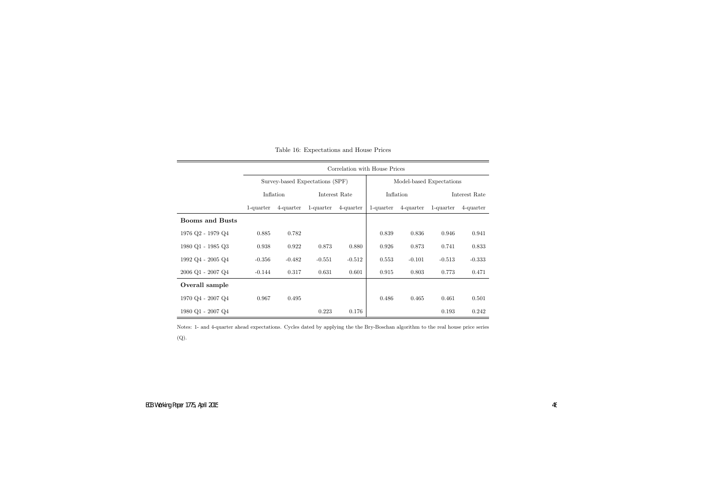|                                     |                        | Correlation with House Prices |                                 |               |                          |           |               |           |  |  |  |  |
|-------------------------------------|------------------------|-------------------------------|---------------------------------|---------------|--------------------------|-----------|---------------|-----------|--|--|--|--|
|                                     |                        |                               | Survey-based Expectations (SPF) |               | Model-based Expectations |           |               |           |  |  |  |  |
|                                     |                        | Inflation                     |                                 | Interest Rate |                          | Inflation | Interest Rate |           |  |  |  |  |
|                                     | 1-quarter<br>4-quarter |                               | 1-quarter                       | 4-quarter     | 1-quarter                | 4-quarter | 1-quarter     | 4-quarter |  |  |  |  |
| <b>Booms and Busts</b>              |                        |                               |                                 |               |                          |           |               |           |  |  |  |  |
| 1976 Q2 - 1979 Q4                   | 0.885                  | 0.782                         |                                 |               | 0.839                    | 0.836     | 0.946         | 0.941     |  |  |  |  |
| 1980 Q1 - 1985 Q3                   | 0.938                  | 0.922                         | 0.873                           | 0.880         | 0.926                    | 0.873     | 0.741         | 0.833     |  |  |  |  |
| 1992 Q4 - 2005 Q4                   | $-0.356$               | $-0.482$                      | $-0.551$                        | $-0.512$      | 0.553                    | $-0.101$  | $-0.513$      | $-0.333$  |  |  |  |  |
| $2006$ Q1 - $2007$ Q4 $\,$          | $-0.144$               | 0.317                         | 0.631                           | 0.601         | 0.915                    | 0.803     | 0.773         | 0.471     |  |  |  |  |
| Overall sample                      |                        |                               |                                 |               |                          |           |               |           |  |  |  |  |
| $1970 \text{ Q}4 - 2007 \text{ Q}4$ | 0.967                  | 0.495                         |                                 |               | 0.486                    | 0.465     | 0.461         | 0.501     |  |  |  |  |
| $1980$ Q1 - $2007$ Q4               |                        |                               | 0.223                           | 0.176         |                          |           | 0.193         | 0.242     |  |  |  |  |

| Table 16: Expectations and House Prices |  |
|-----------------------------------------|--|
|-----------------------------------------|--|

Notes: 1- and 4-quarter ahead expectations. Cycles dated by applying the the Bry-Boschan algorithm to the real house price series(Q).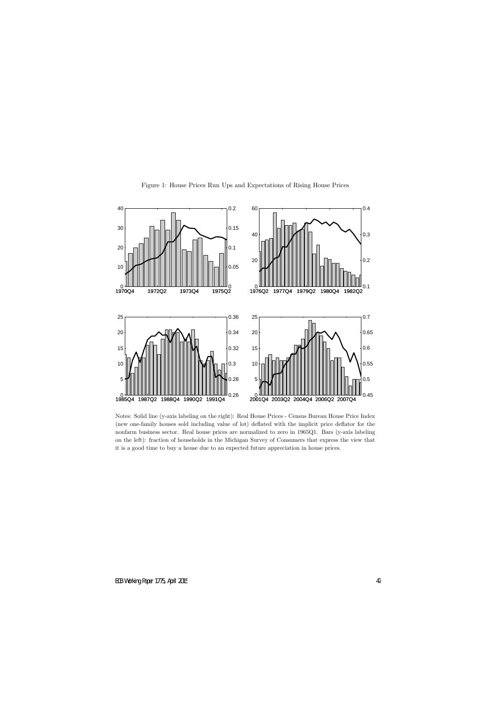

Figure 1: House Prices Run Ups and Expectations of Rising House Prices

Notes: Solid line (y-axis labeling on the right): Real House Prices - Census Bureau House Price Index (new one-family houses sold including value of lot) deflated with the implicit price deflator for the nonfarm business sector. Real house prices are normalized to zero in 1965Q1. Bars (y-axis labeling on the left): fraction of households in the Michigan Survey of Consumers that express the view that it is a good time to buy a house due to an expected future appreciation in house prices.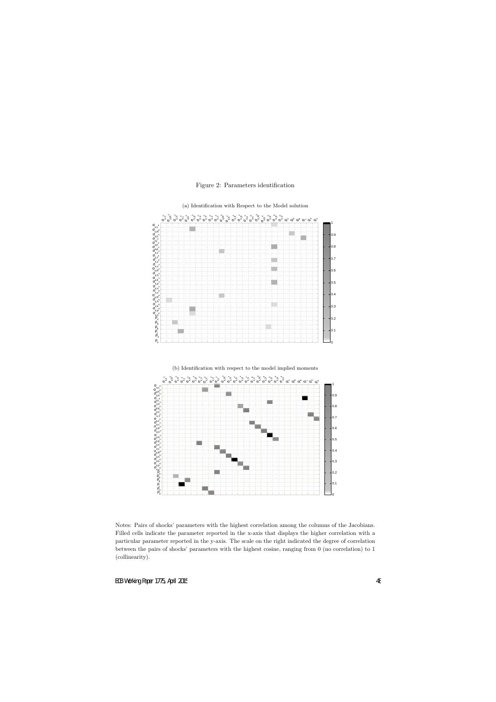Figure 2: Parameters identification



Notes: Pairs of shocks' parameters with the highest correlation among the columns of the Jacobians. Filled cells indicate the parameter reported in the x-axis that displays the higher correlation with a particular parameter reported in the y-axis. The scale on the right indicated the degree of correlation between the pairs of shocks' parameters with the highest cosine, ranging from 0 (no correlation) to 1 (collinearity).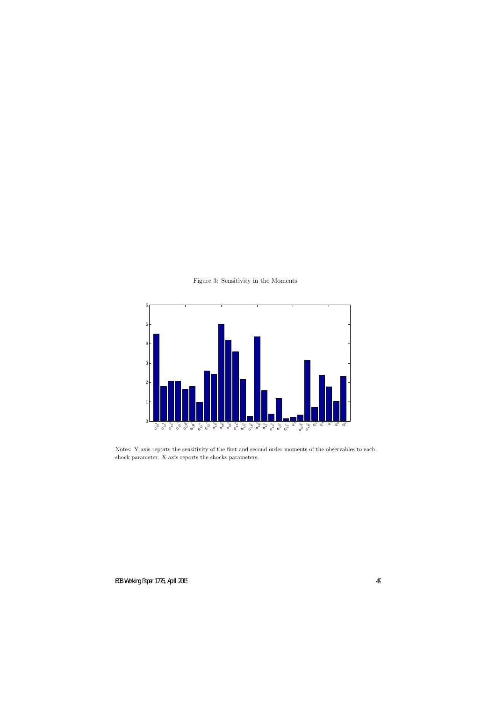

Figure 3: Sensitivity in the Moments

Notes: Y-axis reports the sensitivity of the first and second order moments of the observables to each shock parameter. X-axis reports the shocks parameters.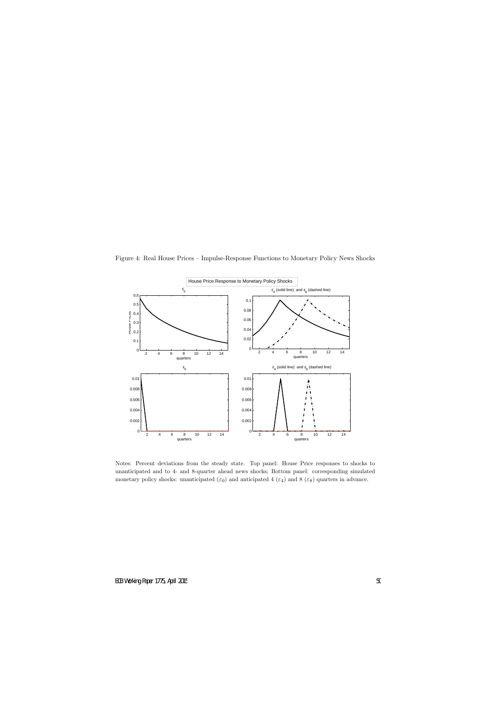

Figure 4: Real House Prices – Impulse-Response Functions to Monetary Policy News Shocks

Notes: Percent deviations from the steady state. Top panel: House Price responses to shocks to unanticipated and to 4- and 8-quarter ahead news shocks; Bottom panel: corresponding simulated monetary policy shocks: unanticipated  $(\varepsilon_0)$  and anticipated 4  $(\varepsilon_4)$  and 8  $(\varepsilon_8)$  quarters in advance.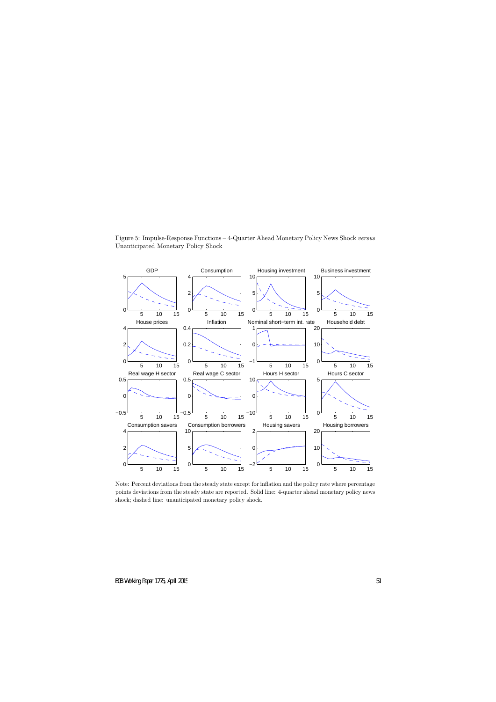

Figure 5: Impulse-Response Functions – 4-Quarter Ahead Monetary Policy News Shock *versus* Unanticipated Monetary Policy Shock

Note: Percent deviations from the steady state except for inflation and the policy rate where percentage points deviations from the steady state are reported. Solid line: 4-quarter ahead monetary policy news shock; dashed line: unanticipated monetary policy shock.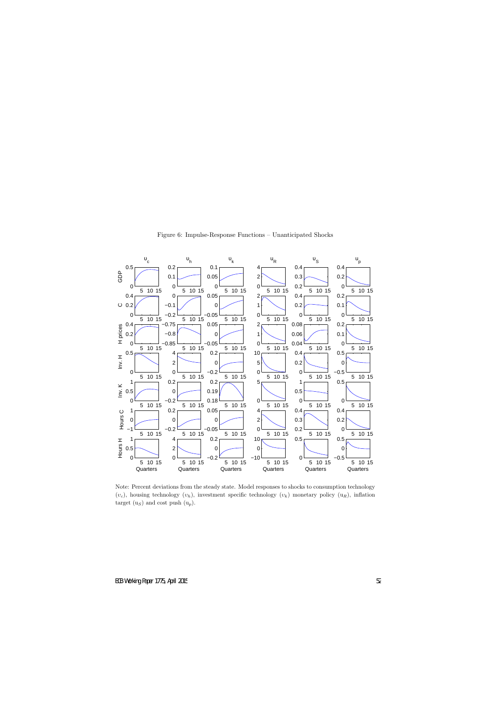

Figure 6: Impulse-Response Functions – Unanticipated Shocks

Note: Percent deviations from the steady state. Model responses to shocks to consumption technology  $(v_c)$ , housing technology  $(v_h)$ , investment specific technology  $(v_k)$  monetary policy  $(u_R)$ , inflation target  $(u<sub>S</sub>)$  and cost push  $(u<sub>p</sub>)$ .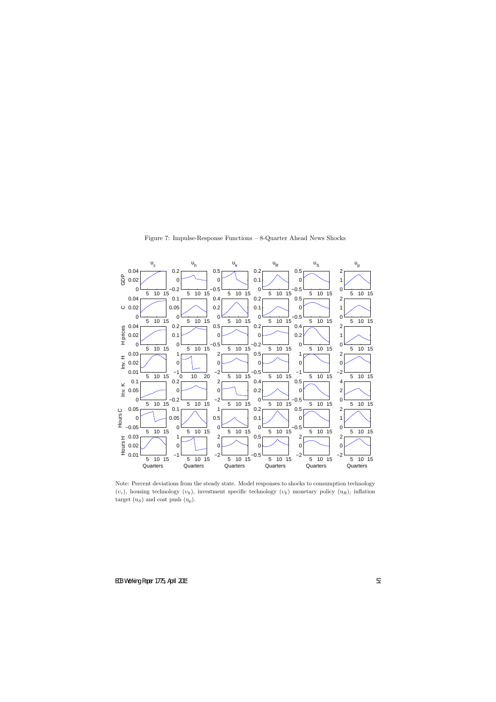

Figure 7: Impulse-Response Functions – 8-Quarter Ahead News Shocks

Note: Percent deviations from the steady state. Model responses to shocks to consumption technology  $(v_c)$ , housing technology  $(v_h)$ , investment specific technology  $(v_k)$  monetary policy  $(u_R)$ , inflation target  $(u<sub>S</sub>)$  and cost push  $(u<sub>p</sub>)$ .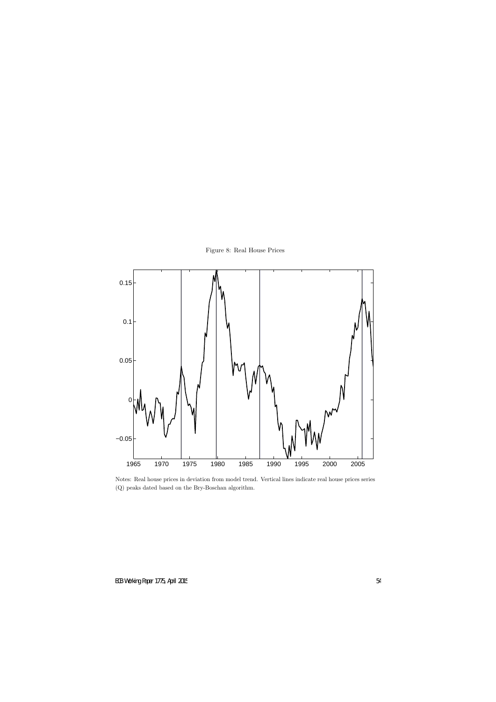



Notes: Real house prices in deviation from model trend. Vertical lines indicate real house prices series (Q) peaks dated based on the Bry-Boschan algorithm.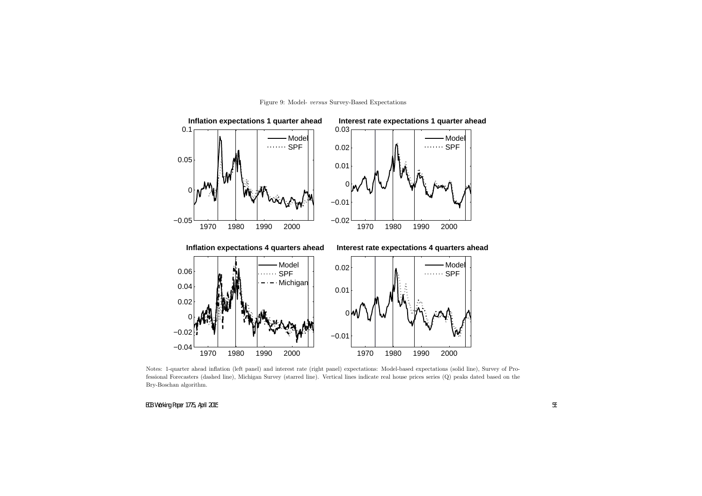



Notes: 1-quarter ahead inflation (left panel) and interest rate (right panel) expectations: Model-based expectations (solid line), Survey of Professional Forecasters (dashed line), Michigan Survey (starred line). Vertical lines indicate real house prices series (Q) peaks dated based on the Bry-Boschan algorithm.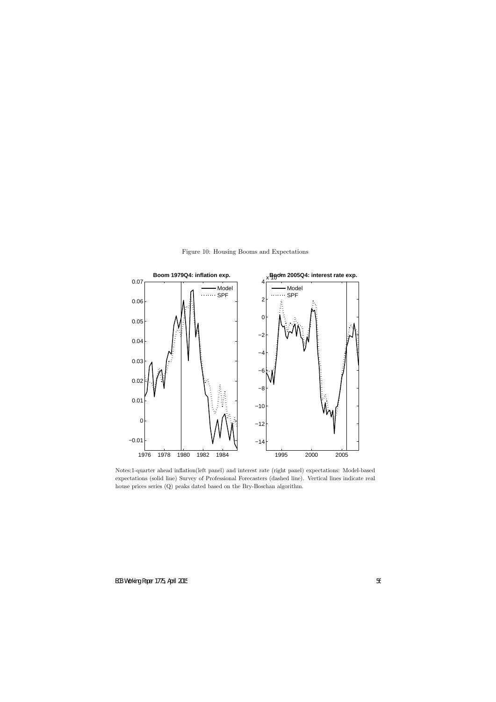

Figure 10: Housing Booms and Expectations

Notes:1-quarter ahead inflation(left panel) and interest rate (right panel) expectations: Model-based expectations (solid line) Survey of Professional Forecasters (dashed line). Vertical lines indicate real house prices series (Q) peaks dated based on the Bry-Boschan algorithm.